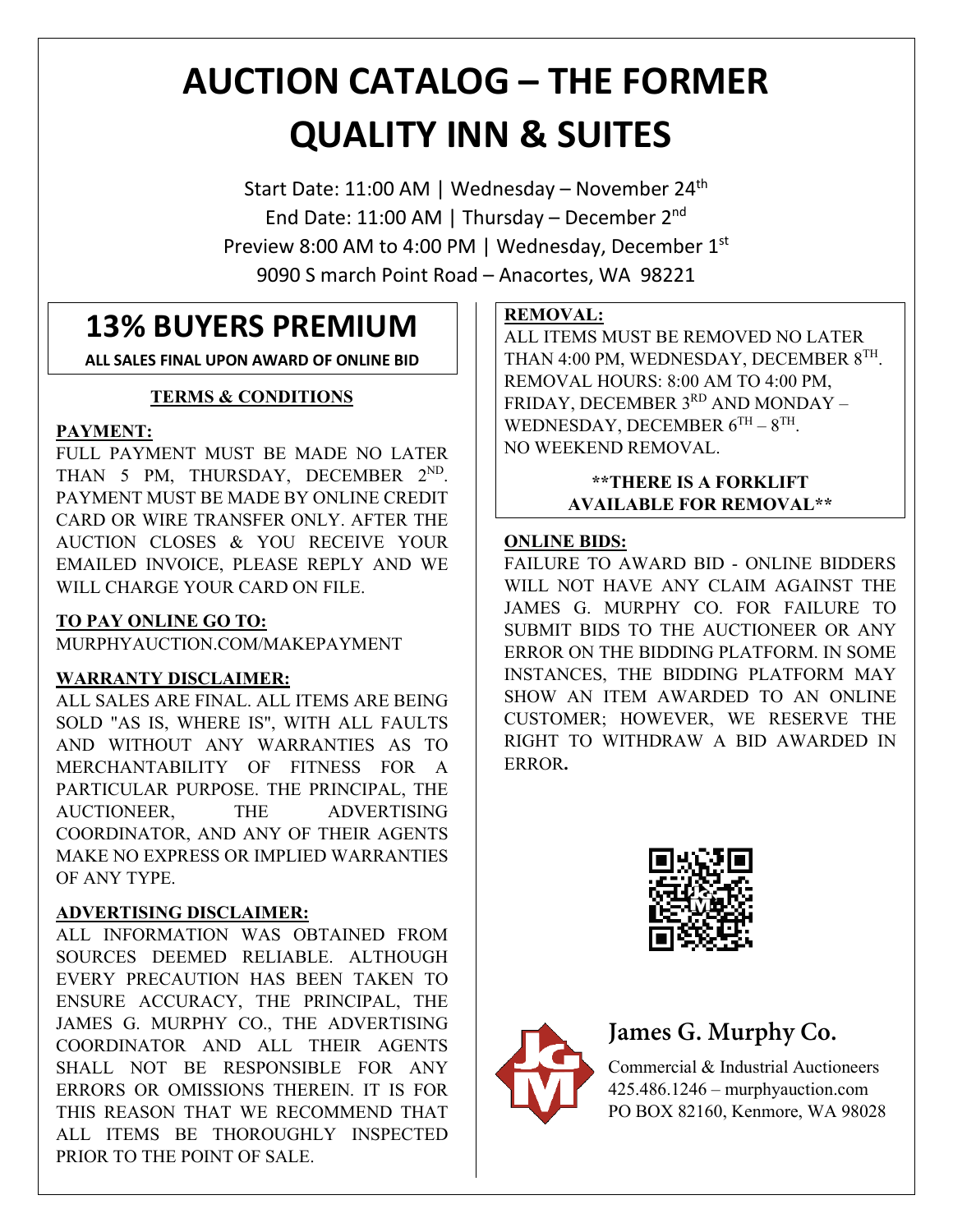# **AUCTION CATALOG – THE FORMER QUALITY INN & SUITES**

Start Date: 11:00 AM | Wednesday – November 24<sup>th</sup> End Date: 11:00 AM | Thursday – December 2<sup>nd</sup> Preview 8:00 AM to 4:00 PM | Wednesday, December 1st 9090 S march Point Road – Anacortes, WA 98221

## **13% BUYERS PREMIUM**

**ALL SALES FINAL UPON AWARD OF ONLINE BID**

### **TERMS & CONDITIONS**

### **PAYMENT:**

FULL PAYMENT MUST BE MADE NO LATER THAN 5 PM, THURSDAY, DECEMBER 2<sup>ND</sup>. PAYMENT MUST BE MADE BY ONLINE CREDIT CARD OR WIRE TRANSFER ONLY. AFTER THE AUCTION CLOSES & YOU RECEIVE YOUR EMAILED INVOICE, PLEASE REPLY AND WE WILL CHARGE YOUR CARD ON FILE.

### **TO PAY ONLINE GO TO:**

MURPHYAUCTION.COM/MAKEPAYMENT

### **WARRANTY DISCLAIMER:**

ALL SALES ARE FINAL. ALL ITEMS ARE BEING SOLD "AS IS, WHERE IS", WITH ALL FAULTS AND WITHOUT ANY WARRANTIES AS TO MERCHANTABILITY OF FITNESS FOR A PARTICULAR PURPOSE. THE PRINCIPAL, THE AUCTIONEER, THE ADVERTISING COORDINATOR, AND ANY OF THEIR AGENTS MAKE NO EXPRESS OR IMPLIED WARRANTIES OF ANY TYPE.

### **ADVERTISING DISCLAIMER:**

ALL INFORMATION WAS OBTAINED FROM SOURCES DEEMED RELIABLE. ALTHOUGH EVERY PRECAUTION HAS BEEN TAKEN TO ENSURE ACCURACY, THE PRINCIPAL, THE JAMES G. MURPHY CO., THE ADVERTISING COORDINATOR AND ALL THEIR AGENTS SHALL NOT BE RESPONSIBLE FOR ANY ERRORS OR OMISSIONS THEREIN. IT IS FOR THIS REASON THAT WE RECOMMEND THAT ALL ITEMS BE THOROUGHLY INSPECTED PRIOR TO THE POINT OF SALE.

### **REMOVAL:**

ALL ITEMS MUST BE REMOVED NO LATER THAN 4:00 PM, WEDNESDAY, DECEMBER 8TH. REMOVAL HOURS: 8:00 AM TO 4:00 PM, FRIDAY, DECEMBER 3RD AND MONDAY -WEDNESDAY, DECEMBER  $6^{TH} - 8^{TH}$ . NO WEEKEND REMOVAL.

### **\*\*THERE IS A FORKLIFT AVAILABLE FOR REMOVAL\*\***

### **ONLINE BIDS:**

FAILURE TO AWARD BID - ONLINE BIDDERS WILL NOT HAVE ANY CLAIM AGAINST THE JAMES G. MURPHY CO. FOR FAILURE TO SUBMIT BIDS TO THE AUCTIONEER OR ANY ERROR ON THE BIDDING PLATFORM. IN SOME INSTANCES, THE BIDDING PLATFORM MAY SHOW AN ITEM AWARDED TO AN ONLINE CUSTOMER; HOWEVER, WE RESERVE THE RIGHT TO WITHDRAW A BID AWARDED IN ERROR**.**





## **James G. Murphy Co.**

Commercial & Industrial Auctioneers 425.486.1246 – murphyauction.com PO BOX 82160, Kenmore, WA 98028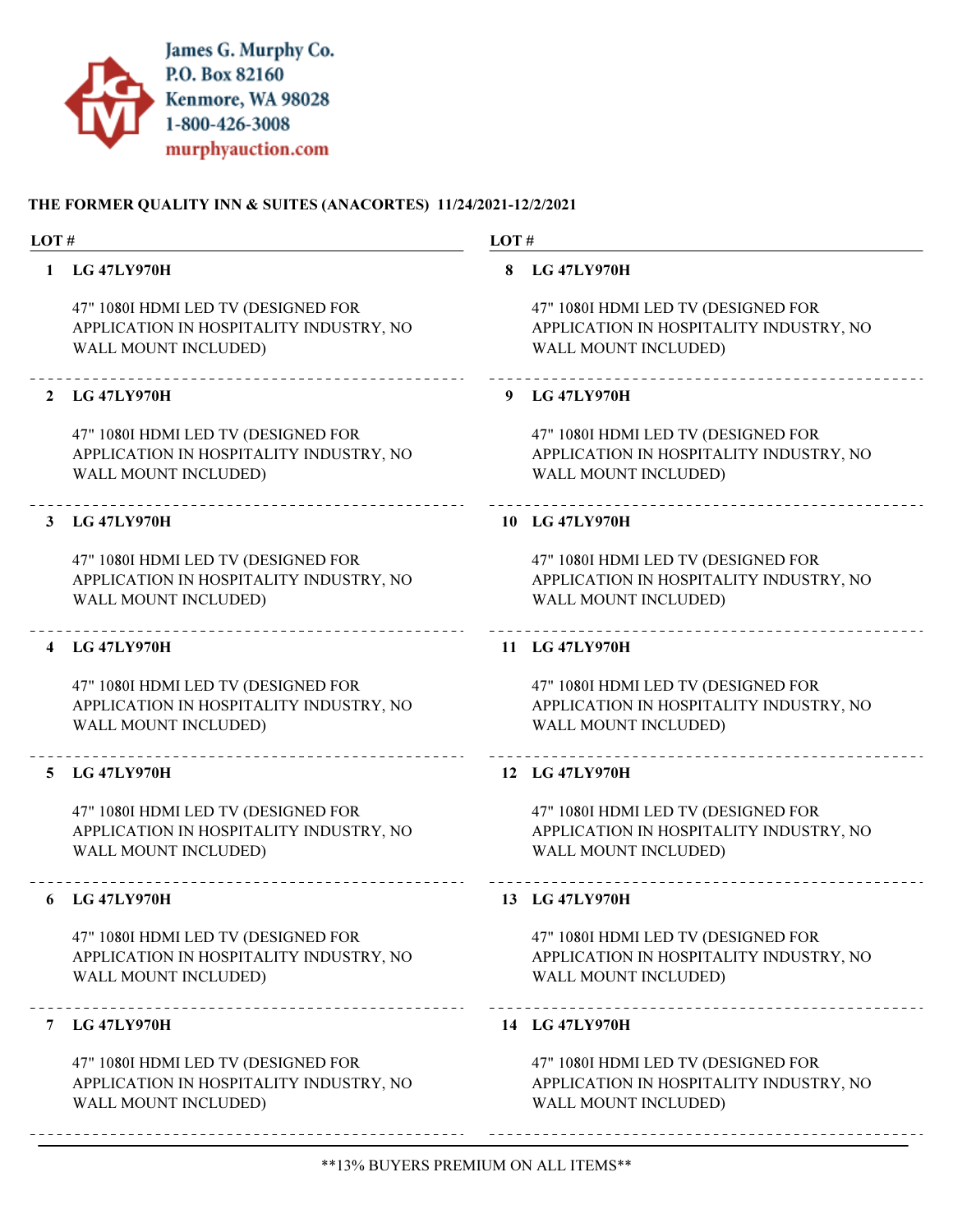

| LOT#           |                                                                                                               | LOT# |                                                                                                        |
|----------------|---------------------------------------------------------------------------------------------------------------|------|--------------------------------------------------------------------------------------------------------|
| $\mathbf{1}$   | <b>LG 47LY970H</b>                                                                                            |      | 8 LG 47LY970H                                                                                          |
|                | 47" 1080I HDMI LED TV (DESIGNED FOR<br>APPLICATION IN HOSPITALITY INDUSTRY, NO<br>WALL MOUNT INCLUDED)        |      | 47" 1080I HDMI LED TV (DESIGNED FOR<br>APPLICATION IN HOSPITALITY INDUSTRY, NO<br>WALL MOUNT INCLUDED) |
|                | 2 LG 47LY970H                                                                                                 |      | 9 LG 47LY970H                                                                                          |
|                | 47" 1080I HDMI LED TV (DESIGNED FOR<br>APPLICATION IN HOSPITALITY INDUSTRY, NO<br>WALL MOUNT INCLUDED)        |      | 47" 1080I HDMI LED TV (DESIGNED FOR<br>APPLICATION IN HOSPITALITY INDUSTRY, NO<br>WALL MOUNT INCLUDED) |
|                | 3 LG 47LY970H                                                                                                 |      | 10 LG 47LY970H                                                                                         |
|                | 47" 1080I HDMI LED TV (DESIGNED FOR<br>APPLICATION IN HOSPITALITY INDUSTRY, NO<br>WALL MOUNT INCLUDED)        |      | 47" 1080I HDMI LED TV (DESIGNED FOR<br>APPLICATION IN HOSPITALITY INDUSTRY, NO<br>WALL MOUNT INCLUDED) |
| $\overline{4}$ | <b>LG 47LY970H</b>                                                                                            |      | 11 LG 47LY970H                                                                                         |
|                | 47" 1080I HDMI LED TV (DESIGNED FOR<br>APPLICATION IN HOSPITALITY INDUSTRY, NO<br>WALL MOUNT INCLUDED)        |      | 47" 1080I HDMI LED TV (DESIGNED FOR<br>APPLICATION IN HOSPITALITY INDUSTRY, NO<br>WALL MOUNT INCLUDED) |
| 5.             | <b>LG 47LY970H</b>                                                                                            |      | 12 LG 47LY970H                                                                                         |
|                | 47" 1080I HDMI LED TV (DESIGNED FOR<br>APPLICATION IN HOSPITALITY INDUSTRY, NO<br><b>WALL MOUNT INCLUDED)</b> |      | 47" 1080I HDMI LED TV (DESIGNED FOR<br>APPLICATION IN HOSPITALITY INDUSTRY, NO<br>WALL MOUNT INCLUDED) |
|                | 6 LG 47LY970H                                                                                                 |      | 13 LG 47LY970H                                                                                         |
|                | 47" 1080I HDMI LED TV (DESIGNED FOR<br>APPLICATION IN HOSPITALITY INDUSTRY, NO<br>WALL MOUNT INCLUDED)        |      | 47" 1080I HDMI LED TV (DESIGNED FOR<br>APPLICATION IN HOSPITALITY INDUSTRY, NO<br>WALL MOUNT INCLUDED) |
|                | 7 LG 47LY970H                                                                                                 |      | 14 LG 47LY970H                                                                                         |
|                | 47" 1080I HDMI LED TV (DESIGNED FOR<br>APPLICATION IN HOSPITALITY INDUSTRY, NO<br>WALL MOUNT INCLUDED)        |      | 47" 1080I HDMI LED TV (DESIGNED FOR<br>APPLICATION IN HOSPITALITY INDUSTRY, NO<br>WALL MOUNT INCLUDED) |
|                |                                                                                                               |      |                                                                                                        |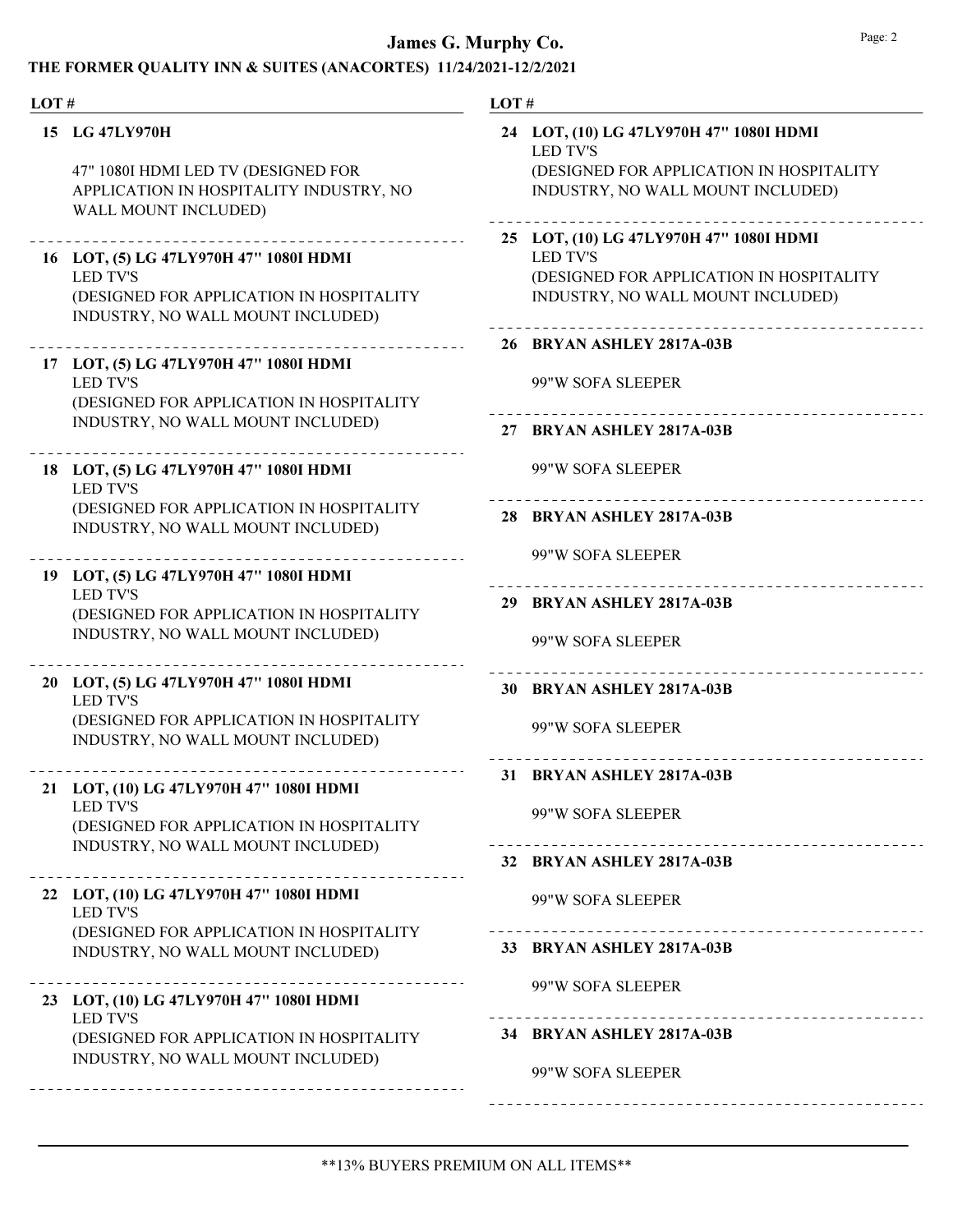| LOT# |                                                                                                                                             | LOT#                                                                                                                                        |
|------|---------------------------------------------------------------------------------------------------------------------------------------------|---------------------------------------------------------------------------------------------------------------------------------------------|
|      | 15 LG 47LY970H<br>47" 1080I HDMI LED TV (DESIGNED FOR<br>APPLICATION IN HOSPITALITY INDUSTRY, NO<br>WALL MOUNT INCLUDED)                    | 24 LOT, (10) LG 47LY970H 47" 1080I HDMI<br><b>LED TV'S</b><br>(DESIGNED FOR APPLICATION IN HOSPITALITY<br>INDUSTRY, NO WALL MOUNT INCLUDED) |
|      | 16 LOT, (5) LG 47LY970H 47" 1080I HDMI<br><b>LED TV'S</b><br>(DESIGNED FOR APPLICATION IN HOSPITALITY<br>INDUSTRY, NO WALL MOUNT INCLUDED)  | 25 LOT, (10) LG 47LY970H 47" 1080I HDMI<br><b>LED TV'S</b><br>(DESIGNED FOR APPLICATION IN HOSPITALITY<br>INDUSTRY, NO WALL MOUNT INCLUDED) |
|      | 17 LOT, (5) LG 47LY970H 47" 1080I HDMI<br><b>LED TV'S</b><br>(DESIGNED FOR APPLICATION IN HOSPITALITY<br>INDUSTRY, NO WALL MOUNT INCLUDED)  | 26 BRYAN ASHLEY 2817A-03B<br>99"W SOFA SLEEPER<br>27 BRYAN ASHLEY 2817A-03B                                                                 |
|      | 18 LOT, (5) LG 47LY970H 47" 1080I HDMI<br><b>LED TV'S</b><br>(DESIGNED FOR APPLICATION IN HOSPITALITY<br>INDUSTRY, NO WALL MOUNT INCLUDED)  | 99"W SOFA SLEEPER<br>28 BRYAN ASHLEY 2817A-03B                                                                                              |
|      | 19 LOT, (5) LG 47LY970H 47" 1080I HDMI<br><b>LED TV'S</b><br>(DESIGNED FOR APPLICATION IN HOSPITALITY<br>INDUSTRY, NO WALL MOUNT INCLUDED)  | 99"W SOFA SLEEPER<br>29 BRYAN ASHLEY 2817A-03B<br>99"W SOFA SLEEPER                                                                         |
|      | 20 LOT, (5) LG 47LY970H 47" 1080I HDMI<br><b>LED TV'S</b><br>(DESIGNED FOR APPLICATION IN HOSPITALITY<br>INDUSTRY, NO WALL MOUNT INCLUDED)  | 30 BRYAN ASHLEY 2817A-03B<br>99"W SOFA SLEEPER                                                                                              |
|      | LOT, (10) LG 47LY970H 47" 1080I HDMI<br><b>LED TV'S</b><br>(DESIGNED FOR APPLICATION IN HOSPITALITY<br>INDUSTRY, NO WALL MOUNT INCLUDED)    | 31 BRYAN ASHLEY 2817A-03B<br>99"W SOFA SLEEPER<br>32 BRYAN ASHLEY 2817A-03B                                                                 |
|      | 22 LOT, (10) LG 47LY970H 47" 1080I HDMI<br><b>LED TV'S</b><br>(DESIGNED FOR APPLICATION IN HOSPITALITY<br>INDUSTRY, NO WALL MOUNT INCLUDED) | 99"W SOFA SLEEPER<br>33 BRYAN ASHLEY 2817A-03B                                                                                              |
|      | 23 LOT, (10) LG 47LY970H 47" 1080I HDMI<br><b>LED TV'S</b><br>(DESIGNED FOR APPLICATION IN HOSPITALITY<br>INDUSTRY, NO WALL MOUNT INCLUDED) | 99"W SOFA SLEEPER<br>34 BRYAN ASHLEY 2817A-03B<br>99"W SOFA SLEEPER                                                                         |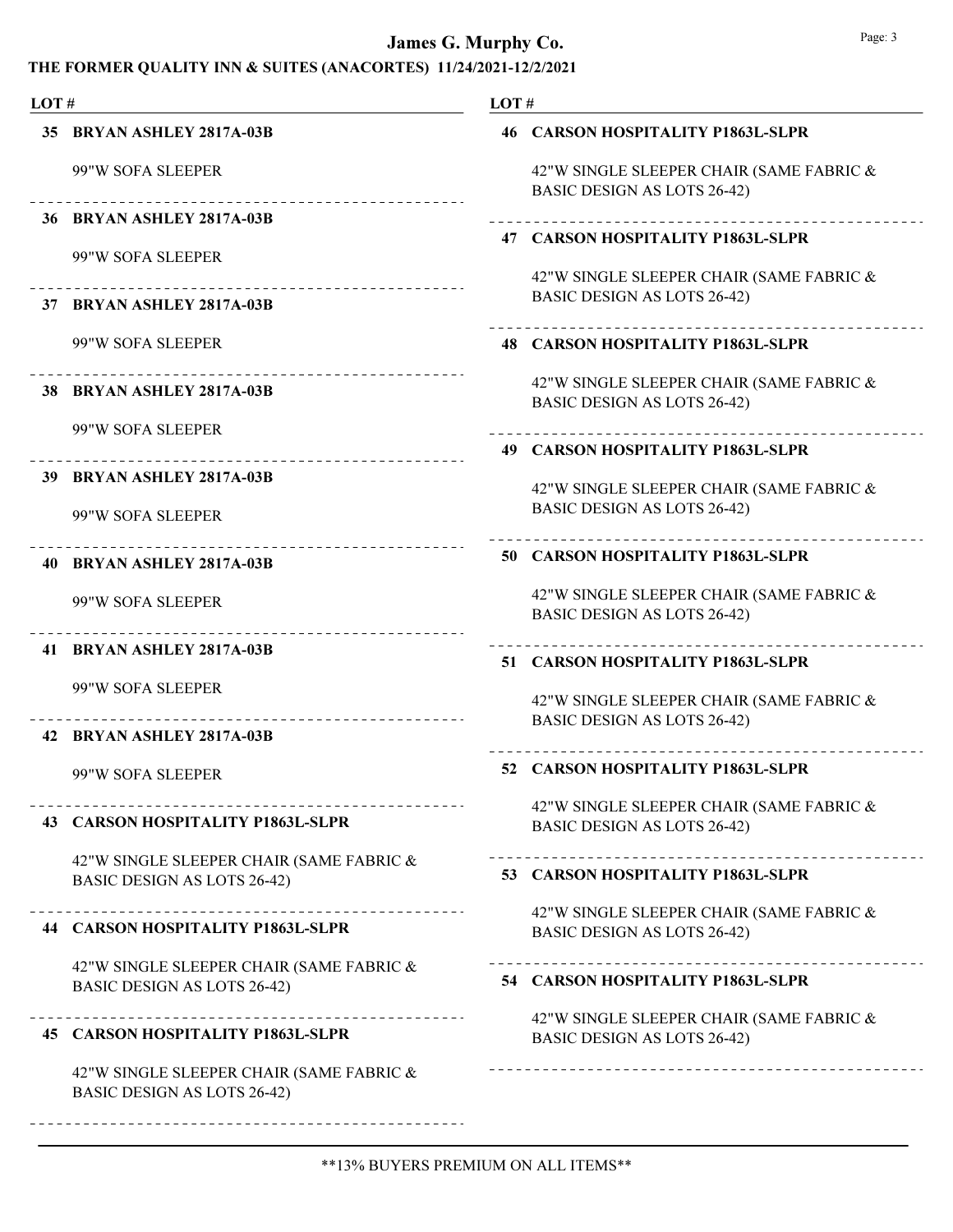| LOT# |                                                                                | LOT# |                                                                                |
|------|--------------------------------------------------------------------------------|------|--------------------------------------------------------------------------------|
|      | 35 BRYAN ASHLEY 2817A-03B                                                      |      | 46 CARSON HOSPITALITY P1863L-SLPR                                              |
|      | 99"W SOFA SLEEPER                                                              |      | 42"W SINGLE SLEEPER CHAIR (SAME FABRIC &<br><b>BASIC DESIGN AS LOTS 26-42)</b> |
|      | 36 BRYAN ASHLEY 2817A-03B                                                      |      | 47 CARSON HOSPITALITY P1863L-SLPR                                              |
|      | 99"W SOFA SLEEPER                                                              |      | 42"W SINGLE SLEEPER CHAIR (SAME FABRIC &<br><b>BASIC DESIGN AS LOTS 26-42)</b> |
|      | 37 BRYAN ASHLEY 2817A-03B                                                      |      |                                                                                |
|      | 99"W SOFA SLEEPER                                                              |      | <b>48 CARSON HOSPITALITY P1863L-SLPR</b>                                       |
|      | ___________________________________<br>38 BRYAN ASHLEY 2817A-03B               |      | 42"W SINGLE SLEEPER CHAIR (SAME FABRIC &<br><b>BASIC DESIGN AS LOTS 26-42)</b> |
|      | 99"W SOFA SLEEPER                                                              |      | 49 CARSON HOSPITALITY P1863L-SLPR                                              |
|      | _____________________________________<br>39 BRYAN ASHLEY 2817A-03B             |      |                                                                                |
|      | 99"W SOFA SLEEPER                                                              |      | 42"W SINGLE SLEEPER CHAIR (SAME FABRIC &<br>BASIC DESIGN AS LOTS 26-42)        |
|      | _______________________<br>40 BRYAN ASHLEY 2817A-03B                           |      | 50 CARSON HOSPITALITY P1863L-SLPR                                              |
|      | 99"W SOFA SLEEPER                                                              |      | 42"W SINGLE SLEEPER CHAIR (SAME FABRIC &<br><b>BASIC DESIGN AS LOTS 26-42)</b> |
|      | 41 BRYAN ASHLEY 2817A-03B                                                      |      | 51 CARSON HOSPITALITY P1863L-SLPR                                              |
|      | 99"W SOFA SLEEPER<br>____________________________                              |      | 42"W SINGLE SLEEPER CHAIR (SAME FABRIC &                                       |
|      | 42 BRYAN ASHLEY 2817A-03B                                                      |      | <b>BASIC DESIGN AS LOTS 26-42)</b>                                             |
|      | 99"W SOFA SLEEPER                                                              |      | 52 CARSON HOSPITALITY P1863L-SLPR                                              |
|      | 43 CARSON HOSPITALITY P1863L-SLPR                                              |      | 42"W SINGLE SLEEPER CHAIR (SAME FABRIC &<br><b>BASIC DESIGN AS LOTS 26-42)</b> |
|      | 42"W SINGLE SLEEPER CHAIR (SAME FABRIC &<br><b>BASIC DESIGN AS LOTS 26-42)</b> |      | 53 CARSON HOSPITALITY P1863L-SLPR                                              |
|      | 44 CARSON HOSPITALITY P1863L-SLPR                                              |      | 42"W SINGLE SLEEPER CHAIR (SAME FABRIC &<br><b>BASIC DESIGN AS LOTS 26-42)</b> |
|      | 42"W SINGLE SLEEPER CHAIR (SAME FABRIC &<br><b>BASIC DESIGN AS LOTS 26-42)</b> |      | 54 CARSON HOSPITALITY P1863L-SLPR                                              |
|      | 45 CARSON HOSPITALITY P1863L-SLPR                                              |      | 42"W SINGLE SLEEPER CHAIR (SAME FABRIC &<br><b>BASIC DESIGN AS LOTS 26-42)</b> |
|      | 42"W SINGLE SLEEPER CHAIR (SAME FABRIC &<br><b>BASIC DESIGN AS LOTS 26-42)</b> |      |                                                                                |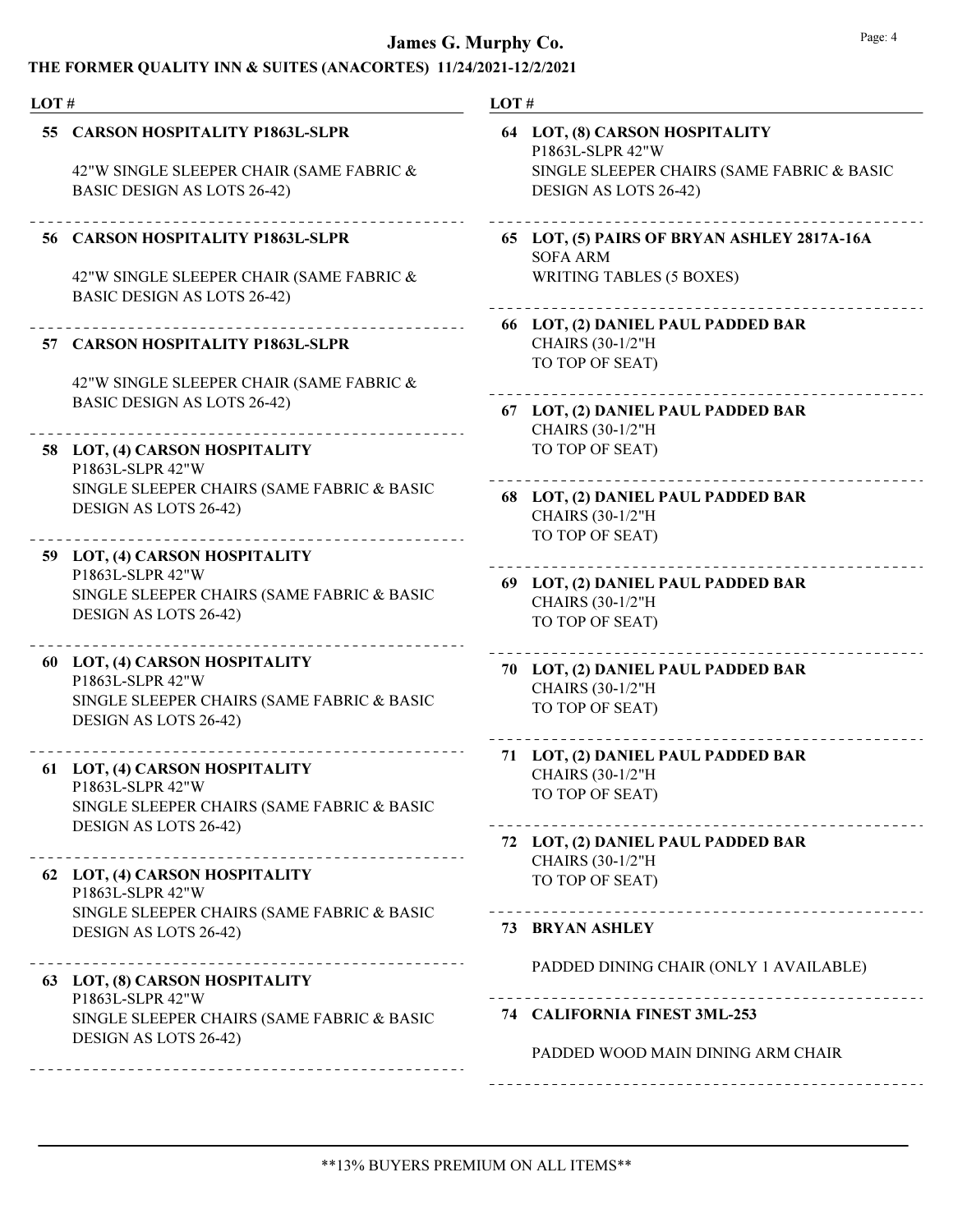| LOT# |                                                                                                                           | LOT#                                                                      |  |  |
|------|---------------------------------------------------------------------------------------------------------------------------|---------------------------------------------------------------------------|--|--|
|      | 55 CARSON HOSPITALITY P1863L-SLPR                                                                                         | 64 LOT, (8) CARSON HOSPITALITY<br>P1863L-SLPR 42"W                        |  |  |
|      | 42"W SINGLE SLEEPER CHAIR (SAME FABRIC &<br>BASIC DESIGN AS LOTS 26-42)                                                   | SINGLE SLEEPER CHAIRS (SAME FABRIC & BASIC<br>DESIGN AS LOTS 26-42)       |  |  |
|      | 56 CARSON HOSPITALITY P1863L-SLPR                                                                                         | 65 LOT, (5) PAIRS OF BRYAN ASHLEY 2817A-16A<br><b>SOFA ARM</b>            |  |  |
|      | 42"W SINGLE SLEEPER CHAIR (SAME FABRIC &<br><b>BASIC DESIGN AS LOTS 26-42)</b>                                            | <b>WRITING TABLES (5 BOXES)</b>                                           |  |  |
|      | 57 CARSON HOSPITALITY P1863L-SLPR                                                                                         | 66 LOT, (2) DANIEL PAUL PADDED BAR<br>CHAIRS (30-1/2"H<br>TO TOP OF SEAT) |  |  |
|      | 42"W SINGLE SLEEPER CHAIR (SAME FABRIC &<br><b>BASIC DESIGN AS LOTS 26-42)</b>                                            | 67 LOT, (2) DANIEL PAUL PADDED BAR                                        |  |  |
|      | 58 LOT, (4) CARSON HOSPITALITY<br>P1863L-SLPR 42"W                                                                        | CHAIRS (30-1/2"H<br>TO TOP OF SEAT)                                       |  |  |
|      | SINGLE SLEEPER CHAIRS (SAME FABRIC & BASIC<br>DESIGN AS LOTS 26-42)                                                       | 68 LOT, (2) DANIEL PAUL PADDED BAR<br>CHAIRS (30-1/2"H<br>TO TOP OF SEAT) |  |  |
|      | 59 LOT, (4) CARSON HOSPITALITY<br>P1863L-SLPR 42"W                                                                        | 69 LOT, (2) DANIEL PAUL PADDED BAR                                        |  |  |
|      | SINGLE SLEEPER CHAIRS (SAME FABRIC & BASIC<br>DESIGN AS LOTS 26-42)                                                       | CHAIRS (30-1/2"H<br>TO TOP OF SEAT)                                       |  |  |
|      | 60 LOT, (4) CARSON HOSPITALITY<br>P1863L-SLPR 42"W<br>SINGLE SLEEPER CHAIRS (SAME FABRIC & BASIC<br>DESIGN AS LOTS 26-42) | 70 LOT, (2) DANIEL PAUL PADDED BAR<br>CHAIRS (30-1/2"H<br>TO TOP OF SEAT) |  |  |
|      | 61 LOT, (4) CARSON HOSPITALITY                                                                                            | 71 LOT, (2) DANIEL PAUL PADDED BAR<br><b>CHAIRS (30-1/2"H)</b>            |  |  |
|      | P1863L-SLPR 42"W<br>SINGLE SLEEPER CHAIRS (SAME FABRIC & BASIC<br>DESIGN AS LOTS 26-42)                                   | TO TOP OF SEAT)                                                           |  |  |
|      |                                                                                                                           | 72 LOT, (2) DANIEL PAUL PADDED BAR<br><b>CHAIRS (30-1/2"H)</b>            |  |  |
|      | 62 LOT, (4) CARSON HOSPITALITY<br>P1863L-SLPR 42"W                                                                        | TO TOP OF SEAT)                                                           |  |  |
|      | SINGLE SLEEPER CHAIRS (SAME FABRIC & BASIC<br>DESIGN AS LOTS 26-42)                                                       | 73 BRYAN ASHLEY                                                           |  |  |
|      | 63 LOT, (8) CARSON HOSPITALITY                                                                                            | PADDED DINING CHAIR (ONLY 1 AVAILABLE)                                    |  |  |
|      | P1863L-SLPR 42"W<br>SINGLE SLEEPER CHAIRS (SAME FABRIC & BASIC<br>DESIGN AS LOTS 26-42)                                   | 74 CALIFORNIA FINEST 3ML-253                                              |  |  |
|      |                                                                                                                           | PADDED WOOD MAIN DINING ARM CHAIR                                         |  |  |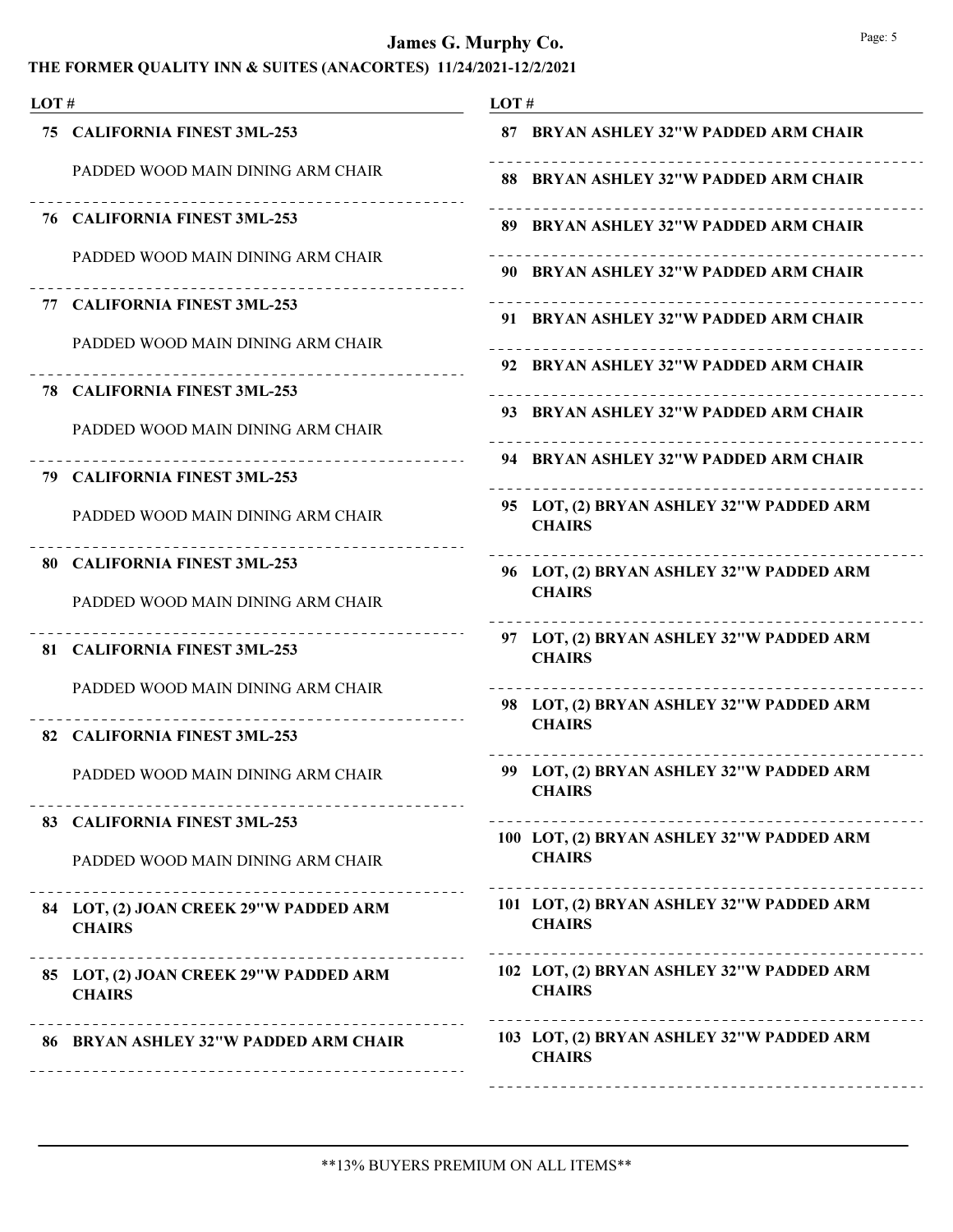| THE FORMER QUALITY INN & SUITES (ANACORTES) 11/24/2021-12/2/2021 |  |  |
|------------------------------------------------------------------|--|--|
|------------------------------------------------------------------|--|--|

| LOT# |                                                                   | LOT#                                                                        |
|------|-------------------------------------------------------------------|-----------------------------------------------------------------------------|
|      | 75 CALIFORNIA FINEST 3ML-253                                      | 87 BRYAN ASHLEY 32"W PADDED ARM CHAIR                                       |
|      | PADDED WOOD MAIN DINING ARM CHAIR                                 | 88 BRYAN ASHLEY 32"W PADDED ARM CHAIR                                       |
|      | 76 CALIFORNIA FINEST 3ML-253                                      | 89 BRYAN ASHLEY 32"W PADDED ARM CHAIR                                       |
|      | PADDED WOOD MAIN DINING ARM CHAIR                                 | 90 BRYAN ASHLEY 32"W PADDED ARM CHAIR                                       |
|      | 77 CALIFORNIA FINEST 3ML-253                                      | 91 BRYAN ASHLEY 32"W PADDED ARM CHAIR                                       |
|      | PADDED WOOD MAIN DINING ARM CHAIR                                 | 92 BRYAN ASHLEY 32"W PADDED ARM CHAIR                                       |
|      | 78 CALIFORNIA FINEST 3ML-253                                      |                                                                             |
|      | PADDED WOOD MAIN DINING ARM CHAIR                                 | 93 BRYAN ASHLEY 32"W PADDED ARM CHAIR                                       |
|      | __________________________<br>79 CALIFORNIA FINEST 3ML-253        | 94 BRYAN ASHLEY 32"W PADDED ARM CHAIR<br>---------------------------------- |
|      | PADDED WOOD MAIN DINING ARM CHAIR                                 | 95 LOT, (2) BRYAN ASHLEY 32"W PADDED ARM<br><b>CHAIRS</b>                   |
|      | 80 CALIFORNIA FINEST 3ML-253<br>PADDED WOOD MAIN DINING ARM CHAIR | 96 LOT, (2) BRYAN ASHLEY 32"W PADDED ARM<br><b>CHAIRS</b>                   |
|      | 81 CALIFORNIA FINEST 3ML-253                                      | 97 LOT, (2) BRYAN ASHLEY 32"W PADDED ARM<br><b>CHAIRS</b>                   |
|      | PADDED WOOD MAIN DINING ARM CHAIR                                 | 98 LOT, (2) BRYAN ASHLEY 32"W PADDED ARM<br><b>CHAIRS</b>                   |
|      | 82 CALIFORNIA FINEST 3ML-253                                      |                                                                             |
|      | PADDED WOOD MAIN DINING ARM CHAIR                                 | 99 LOT, (2) BRYAN ASHLEY 32"W PADDED ARM<br><b>CHAIRS</b>                   |
|      | 83 CALIFORNIA FINEST 3ML-253                                      | 100 LOT, (2) BRYAN ASHLEY 32"W PADDED ARM                                   |
|      | PADDED WOOD MAIN DINING ARM CHAIR                                 | <b>CHAIRS</b>                                                               |
|      | 84 LOT, (2) JOAN CREEK 29"W PADDED ARM<br><b>CHAIRS</b>           | 101 LOT, (2) BRYAN ASHLEY 32"W PADDED ARM<br><b>CHAIRS</b>                  |
|      | 85 LOT, (2) JOAN CREEK 29"W PADDED ARM<br><b>CHAIRS</b>           | 102 LOT, (2) BRYAN ASHLEY 32"W PADDED ARM<br><b>CHAIRS</b>                  |
|      | 86 BRYAN ASHLEY 32"W PADDED ARM CHAIR                             | 103 LOT, (2) BRYAN ASHLEY 32"W PADDED ARM<br><b>CHAIRS</b>                  |
|      |                                                                   |                                                                             |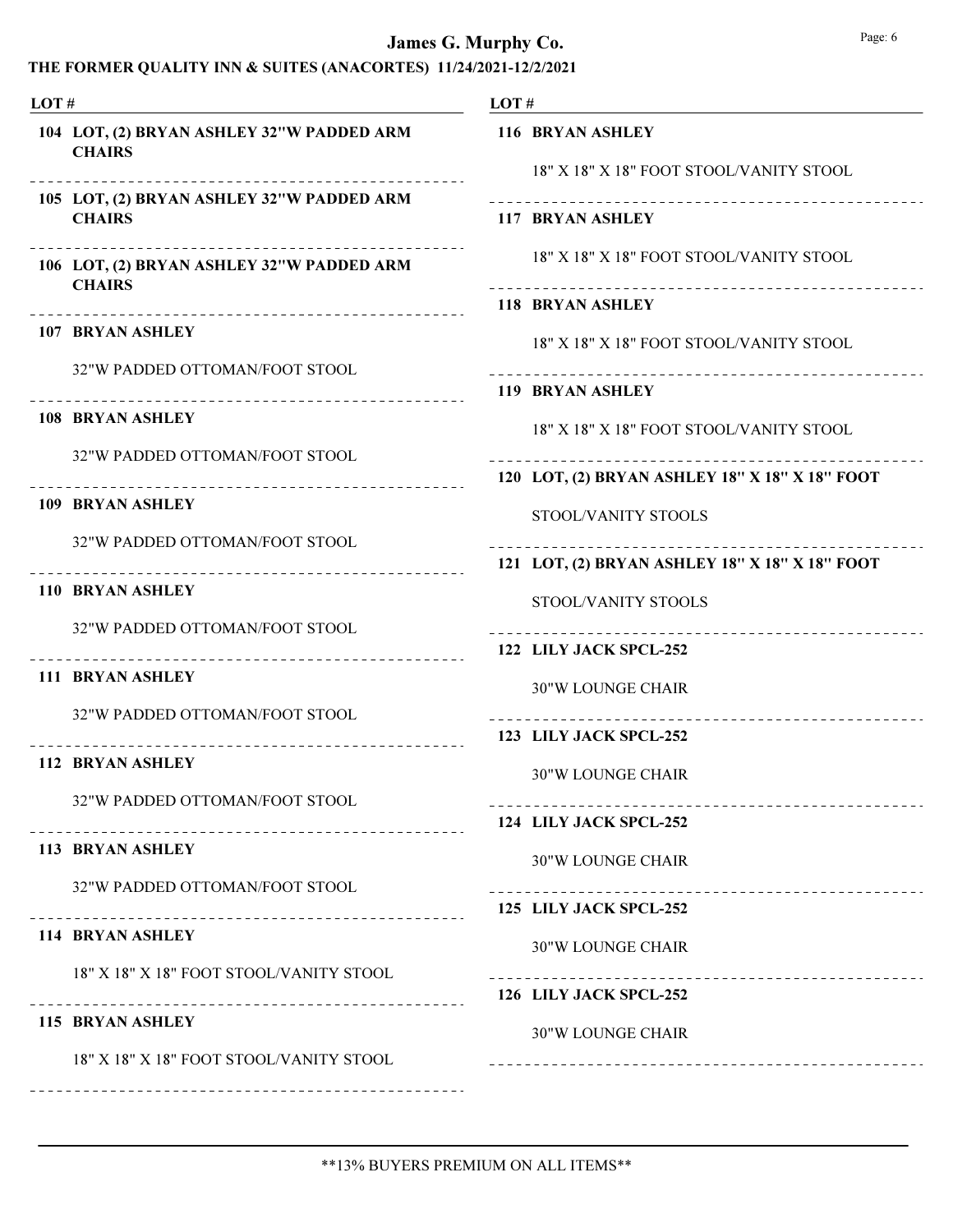THE FORMER QUALITY INN & SUITES (ANACORTES) 11/24/2021-12/2/2021 LOT # LOT, (2) BRYAN ASHLEY 32"W PADDED ARM 104 **CHAIRS** LOT #

LOT, (2) BRYAN ASHLEY 32"W PADDED ARM 105 **CHAIRS** 

LOT, (2) BRYAN ASHLEY 32"W PADDED ARM 106 **CHAIRS** 

107 BRYAN ASHLEY

32"W PADDED OTTOMAN/FOOT STOOL

108 BRYAN ASHLEY

32"W PADDED OTTOMAN/FOOT STOOL

109 BRYAN ASHLEY

32"W PADDED OTTOMAN/FOOT STOOL

110 BRYAN ASHLEY

32"W PADDED OTTOMAN/FOOT STOOL

111 BRYAN ASHLEY

32"W PADDED OTTOMAN/FOOT STOOL

112 BRYAN ASHLEY

32"W PADDED OTTOMAN/FOOT STOOL

#### 113 BRYAN ASHLEY

32"W PADDED OTTOMAN/FOOT STOOL

#### 114 BRYAN ASHLEY

18" X 18" X 18" FOOT STOOL/VANITY STOOL

#### 115 BRYAN ASHLEY

18" X 18" X 18" FOOT STOOL/VANITY STOOL

| LOT# |                                                            |
|------|------------------------------------------------------------|
|      | 116 BRYAN ASHLEY                                           |
|      | 18" X 18" X 18" FOOT STOOL/VANITY STOOL                    |
|      | 117 BRYAN ASHLEY                                           |
|      | 18" X 18" X 18" FOOT STOOL/VANITY STOOL                    |
|      | 118 BRYAN ASHLEY                                           |
|      | 18" X 18" X 18" FOOT STOOL/VANITY STOOL                    |
|      | <b>119 BRYAN ASHLEY</b>                                    |
|      | 18" X 18" X 18" FOOT STOOL/VANITY STOOL                    |
|      | 120 LOT, (2) BRYAN ASHLEY 18" X 18" X 18" FOOT             |
|      | STOOL/VANITY STOOLS                                        |
|      | 121 LOT, (2) BRYAN ASHLEY 18" X 18" X 18" FOOT             |
|      | STOOL/VANITY STOOLS                                        |
|      | --------------------------------<br>122 LILY JACK SPCL-252 |
|      | <b>30"W LOUNGE CHAIR</b>                                   |
|      | 123 LILY JACK SPCL-252                                     |
|      | <b>30"W LOUNGE CHAIR</b>                                   |
|      | 124 LILY JACK SPCL-252                                     |
|      | <b>30"W LOUNGE CHAIR</b>                                   |
|      | .<br>125 LILY JACK SPCL-252                                |
|      | <b>30"W LOUNGE CHAIR</b>                                   |
|      | 126 LILY JACK SPCL-252                                     |
|      | $20"$ W I OI INCE CHAID                                    |

30"W LOUNGE CHAIR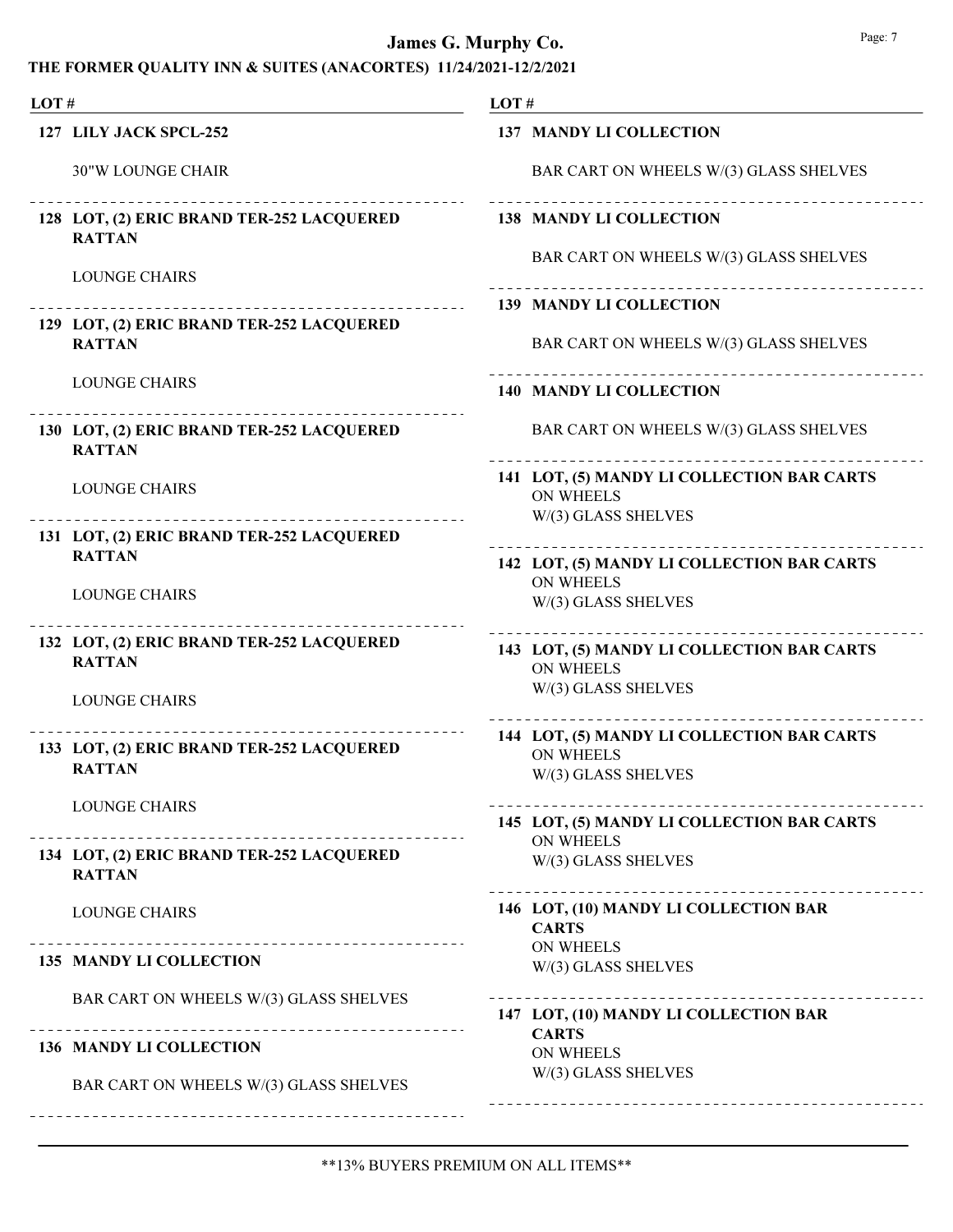| LOT# |                                                                                          | LOT#                                                           |  |  |
|------|------------------------------------------------------------------------------------------|----------------------------------------------------------------|--|--|
|      | 127 LILY JACK SPCL-252                                                                   | 137 MANDY LI COLLECTION                                        |  |  |
|      | <b>30"W LOUNGE CHAIR</b>                                                                 | BAR CART ON WHEELS W/(3) GLASS SHELVES                         |  |  |
|      | 128 LOT, (2) ERIC BRAND TER-252 LACQUERED<br><b>RATTAN</b>                               | 138 MANDY LI COLLECTION                                        |  |  |
|      | <b>LOUNGE CHAIRS</b>                                                                     | BAR CART ON WHEELS W/(3) GLASS SHELVES                         |  |  |
|      |                                                                                          | <b>139 MANDY LI COLLECTION</b>                                 |  |  |
|      | 129 LOT, (2) ERIC BRAND TER-252 LACQUERED<br><b>RATTAN</b>                               | BAR CART ON WHEELS W/(3) GLASS SHELVES                         |  |  |
|      | <b>LOUNGE CHAIRS</b>                                                                     | <b>140 MANDY LI COLLECTION</b>                                 |  |  |
|      | 130 LOT, (2) ERIC BRAND TER-252 LACQUERED<br><b>RATTAN</b>                               | BAR CART ON WHEELS W/(3) GLASS SHELVES                         |  |  |
|      | <b>LOUNGE CHAIRS</b>                                                                     | 141 LOT, (5) MANDY LI COLLECTION BAR CARTS<br><b>ON WHEELS</b> |  |  |
|      | 131 LOT, (2) ERIC BRAND TER-252 LACQUERED                                                | W/(3) GLASS SHELVES                                            |  |  |
|      | <b>RATTAN</b>                                                                            | 142 LOT, (5) MANDY LI COLLECTION BAR CARTS                     |  |  |
|      | <b>LOUNGE CHAIRS</b>                                                                     | <b>ON WHEELS</b><br>W/(3) GLASS SHELVES                        |  |  |
|      | __________________________<br>132 LOT, (2) ERIC BRAND TER-252 LACQUERED<br><b>RATTAN</b> | 143 LOT, (5) MANDY LI COLLECTION BAR CARTS<br><b>ON WHEELS</b> |  |  |
|      | <b>LOUNGE CHAIRS</b>                                                                     | W/(3) GLASS SHELVES                                            |  |  |
|      |                                                                                          | 144 LOT, (5) MANDY LI COLLECTION BAR CARTS                     |  |  |
|      | 133 LOT, (2) ERIC BRAND TER-252 LACQUERED<br><b>RATTAN</b>                               | <b>ON WHEELS</b><br>W/(3) GLASS SHELVES                        |  |  |
|      | <b>LOUNGE CHAIRS</b>                                                                     | 145 LOT, (5) MANDY LI COLLECTION BAR CARTS                     |  |  |
|      | 134 LOT, (2) ERIC BRAND TER-252 LACQUERED<br><b>RATTAN</b>                               | <b>ON WHEELS</b><br>W/(3) GLASS SHELVES                        |  |  |
|      | <b>LOUNGE CHAIRS</b>                                                                     | 146 LOT, (10) MANDY LI COLLECTION BAR<br><b>CARTS</b>          |  |  |
|      | 135 MANDY LI COLLECTION                                                                  | <b>ON WHEELS</b><br>W/(3) GLASS SHELVES                        |  |  |
|      | BAR CART ON WHEELS W/(3) GLASS SHELVES                                                   | 147 LOT, (10) MANDY LI COLLECTION BAR                          |  |  |
|      | <b>136 MANDY LI COLLECTION</b>                                                           | <b>CARTS</b><br><b>ON WHEELS</b>                               |  |  |
|      | BAR CART ON WHEELS W/(3) GLASS SHELVES                                                   | W/(3) GLASS SHELVES                                            |  |  |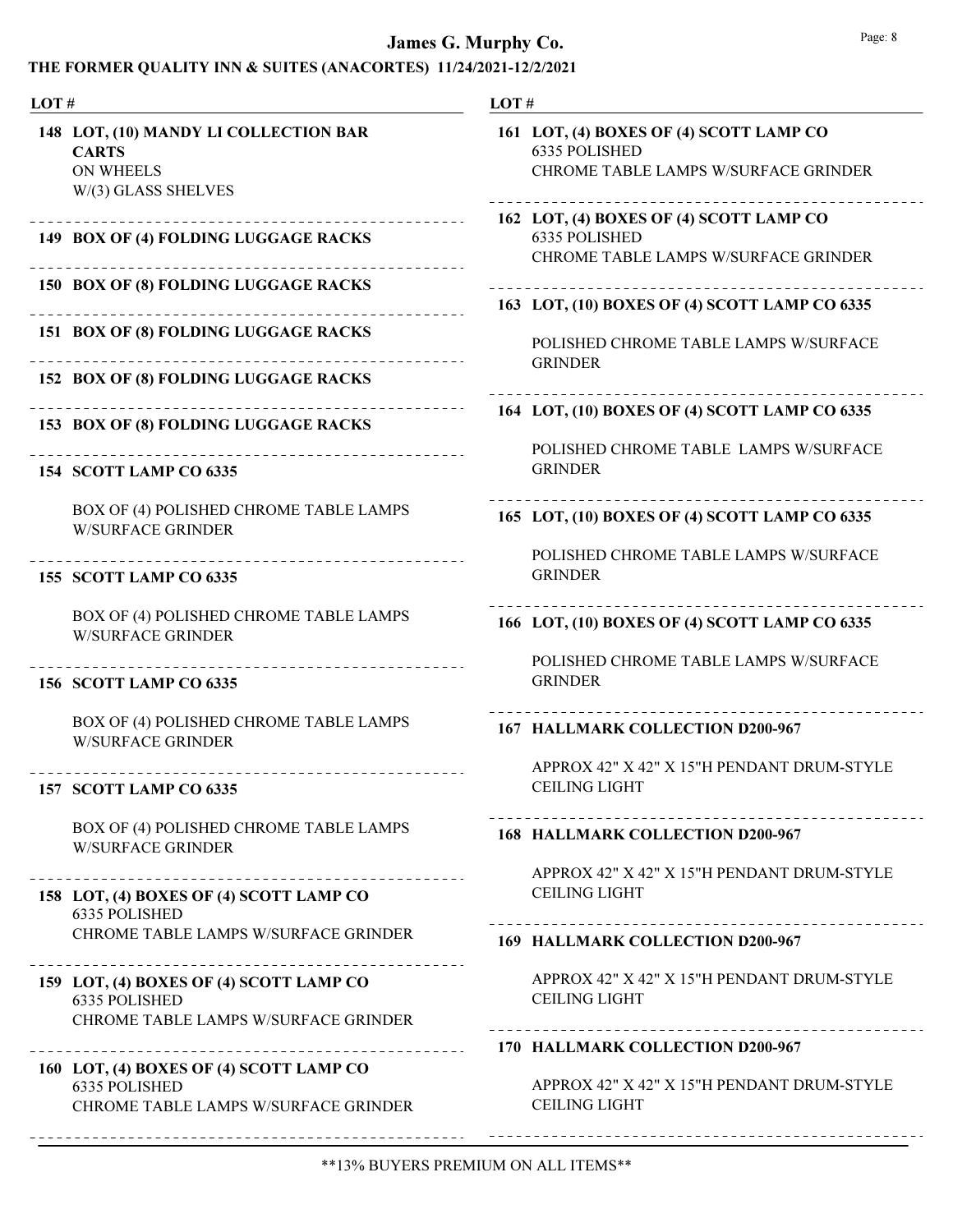| LOT# |                                                                                                  | LOT# |                                                                                                         |
|------|--------------------------------------------------------------------------------------------------|------|---------------------------------------------------------------------------------------------------------|
|      | 148 LOT, (10) MANDY LI COLLECTION BAR<br><b>CARTS</b><br><b>ON WHEELS</b><br>W/(3) GLASS SHELVES |      | 161 LOT, (4) BOXES OF (4) SCOTT LAMP CO<br>6335 POLISHED<br>CHROME TABLE LAMPS W/SURFACE GRINDER        |
|      | -------------------------------<br>149 BOX OF (4) FOLDING LUGGAGE RACKS                          |      | 162 LOT, (4) BOXES OF (4) SCOTT LAMP CO<br>6335 POLISHED<br><b>CHROME TABLE LAMPS W/SURFACE GRINDER</b> |
|      | 150 BOX OF (8) FOLDING LUGGAGE RACKS                                                             |      | 163 LOT, (10) BOXES OF (4) SCOTT LAMP CO 6335                                                           |
|      | 151 BOX OF (8) FOLDING LUGGAGE RACKS                                                             |      | POLISHED CHROME TABLE LAMPS W/SURFACE<br><b>GRINDER</b>                                                 |
|      | 152 BOX OF (8) FOLDING LUGGAGE RACKS                                                             |      |                                                                                                         |
|      | 153 BOX OF (8) FOLDING LUGGAGE RACKS                                                             |      | 164 LOT, (10) BOXES OF (4) SCOTT LAMP CO 6335<br>POLISHED CHROME TABLE LAMPS W/SURFACE                  |
|      | 154 SCOTT LAMP CO 6335                                                                           |      | <b>GRINDER</b>                                                                                          |
|      | BOX OF (4) POLISHED CHROME TABLE LAMPS<br><b>W/SURFACE GRINDER</b>                               |      | 165 LOT, (10) BOXES OF (4) SCOTT LAMP CO 6335                                                           |
|      | 155 SCOTT LAMP CO 6335                                                                           |      | POLISHED CHROME TABLE LAMPS W/SURFACE<br><b>GRINDER</b>                                                 |
|      | BOX OF (4) POLISHED CHROME TABLE LAMPS<br><b>W/SURFACE GRINDER</b>                               |      | 166 LOT, (10) BOXES OF (4) SCOTT LAMP CO 6335                                                           |
|      | -----------<br>156 SCOTT LAMP CO 6335                                                            |      | POLISHED CHROME TABLE LAMPS W/SURFACE<br><b>GRINDER</b>                                                 |
|      | BOX OF (4) POLISHED CHROME TABLE LAMPS<br><b>W/SURFACE GRINDER</b>                               |      | 167 HALLMARK COLLECTION D200-967                                                                        |
|      | 157 SCOTT LAMP CO 6335                                                                           |      | APPROX 42" X 42" X 15"H PENDANT DRUM-STYLE<br><b>CEILING LIGHT</b>                                      |
|      | BOX OF (4) POLISHED CHROME TABLE LAMPS<br><b>W/SURFACE GRINDER</b>                               |      | 168 HALLMARK COLLECTION D200-967                                                                        |
|      | 158 LOT, (4) BOXES OF (4) SCOTT LAMP CO                                                          |      | APPROX 42" X 42" X 15"H PENDANT DRUM-STYLE<br><b>CEILING LIGHT</b>                                      |
|      | 6335 POLISHED<br><b>CHROME TABLE LAMPS W/SURFACE GRINDER</b>                                     |      | 169 HALLMARK COLLECTION D200-967                                                                        |
|      | 159 LOT, (4) BOXES OF (4) SCOTT LAMP CO<br>6335 POLISHED<br>CHROME TABLE LAMPS W/SURFACE GRINDER |      | APPROX 42" X 42" X 15"H PENDANT DRUM-STYLE<br><b>CEILING LIGHT</b>                                      |
|      |                                                                                                  |      | -------------------------------<br>170 HALLMARK COLLECTION D200-967                                     |
|      | 160 LOT, (4) BOXES OF (4) SCOTT LAMP CO<br>6335 POLISHED<br>CHROME TABLE LAMPS W/SURFACE GRINDER |      | APPROX 42" X 42" X 15"H PENDANT DRUM-STYLE<br><b>CEILING LIGHT</b>                                      |
|      |                                                                                                  |      |                                                                                                         |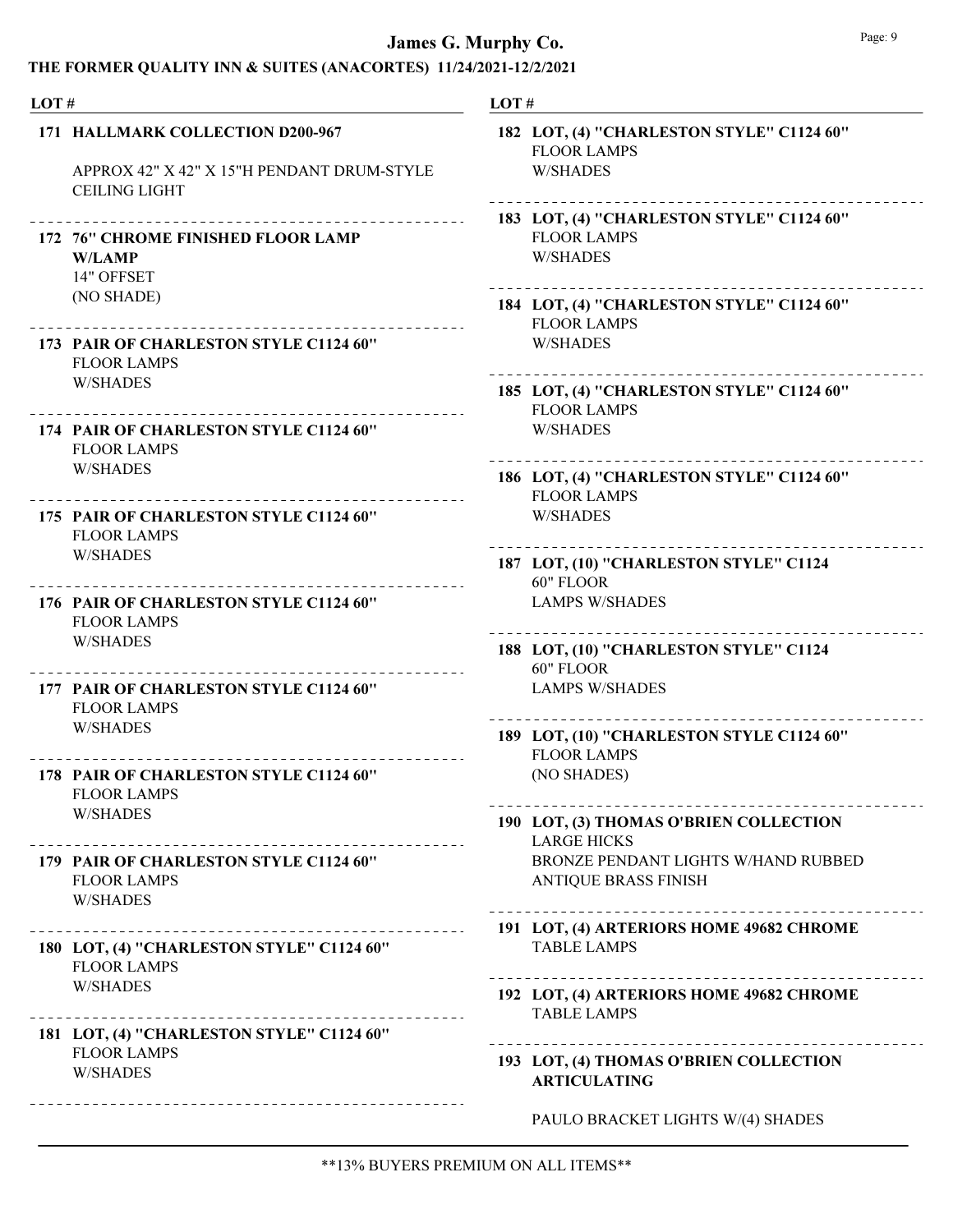| LOT# |                                                                                                        | LOT#                                                                                                        |  |  |
|------|--------------------------------------------------------------------------------------------------------|-------------------------------------------------------------------------------------------------------------|--|--|
|      | 171 HALLMARK COLLECTION D200-967<br>APPROX 42" X 42" X 15"H PENDANT DRUM-STYLE<br><b>CEILING LIGHT</b> | 182 LOT, (4) "CHARLESTON STYLE" C1124 60"<br><b>FLOOR LAMPS</b><br><b>W/SHADES</b>                          |  |  |
|      | 172 76" CHROME FINISHED FLOOR LAMP<br><b>W/LAMP</b><br>14" OFFSET                                      | 183 LOT, (4) "CHARLESTON STYLE" C1124 60"<br><b>FLOOR LAMPS</b><br><b>W/SHADES</b>                          |  |  |
|      | (NO SHADE)                                                                                             | 184 LOT, (4) "CHARLESTON STYLE" C1124 60"<br><b>FLOOR LAMPS</b>                                             |  |  |
|      | 173 PAIR OF CHARLESTON STYLE C1124 60"<br><b>FLOOR LAMPS</b>                                           | <b>W/SHADES</b>                                                                                             |  |  |
|      | <b>W/SHADES</b>                                                                                        | 185 LOT, (4) "CHARLESTON STYLE" C1124 60"<br><b>FLOOR LAMPS</b>                                             |  |  |
|      | 174 PAIR OF CHARLESTON STYLE C1124 60"<br><b>FLOOR LAMPS</b>                                           | <b>W/SHADES</b>                                                                                             |  |  |
|      | <b>W/SHADES</b>                                                                                        | 186 LOT, (4) "CHARLESTON STYLE" C1124 60"<br><b>FLOOR LAMPS</b>                                             |  |  |
|      | 175 PAIR OF CHARLESTON STYLE C1124 60"<br><b>FLOOR LAMPS</b>                                           | <b>W/SHADES</b>                                                                                             |  |  |
|      | <b>W/SHADES</b>                                                                                        | 187 LOT, (10) "CHARLESTON STYLE" C1124<br>60" FLOOR                                                         |  |  |
|      | 176 PAIR OF CHARLESTON STYLE C1124 60"<br><b>FLOOR LAMPS</b>                                           | <b>LAMPS W/SHADES</b>                                                                                       |  |  |
|      | <b>W/SHADES</b>                                                                                        | 188 LOT, (10) "CHARLESTON STYLE" C1124<br>60" FLOOR                                                         |  |  |
|      | 177 PAIR OF CHARLESTON STYLE C1124 60"<br><b>FLOOR LAMPS</b>                                           | <b>LAMPS W/SHADES</b>                                                                                       |  |  |
|      | <b>W/SHADES</b>                                                                                        | 189 LOT, (10) "CHARLESTON STYLE C1124 60"<br><b>FLOOR LAMPS</b>                                             |  |  |
|      | 178 PAIR OF CHARLESTON STYLE C1124 60"<br><b>FLOOR LAMPS</b>                                           | (NO SHADES)                                                                                                 |  |  |
|      | <b>W/SHADES</b>                                                                                        | 190 LOT, (3) THOMAS O'BRIEN COLLECTION<br><b>LARGE HICKS</b>                                                |  |  |
|      | 179 PAIR OF CHARLESTON STYLE C1124 60"<br><b>FLOOR LAMPS</b><br><b>W/SHADES</b>                        | BRONZE PENDANT LIGHTS W/HAND RUBBED<br><b>ANTIQUE BRASS FINISH</b><br>_____________________________________ |  |  |
|      | 180 LOT, (4) "CHARLESTON STYLE" C1124 60"<br><b>FLOOR LAMPS</b>                                        | 191 LOT, (4) ARTERIORS HOME 49682 CHROME<br><b>TABLE LAMPS</b>                                              |  |  |
|      | <b>W/SHADES</b>                                                                                        | 192 LOT, (4) ARTERIORS HOME 49682 CHROME<br><b>TABLE LAMPS</b>                                              |  |  |
|      | 181 LOT, (4) "CHARLESTON STYLE" C1124 60"<br><b>FLOOR LAMPS</b>                                        |                                                                                                             |  |  |
|      | <b>W/SHADES</b>                                                                                        | 193 LOT, (4) THOMAS O'BRIEN COLLECTION<br><b>ARTICULATING</b>                                               |  |  |
|      | ------------------------------                                                                         | PAULO BRACKET LIGHTS W/(4) SHADES                                                                           |  |  |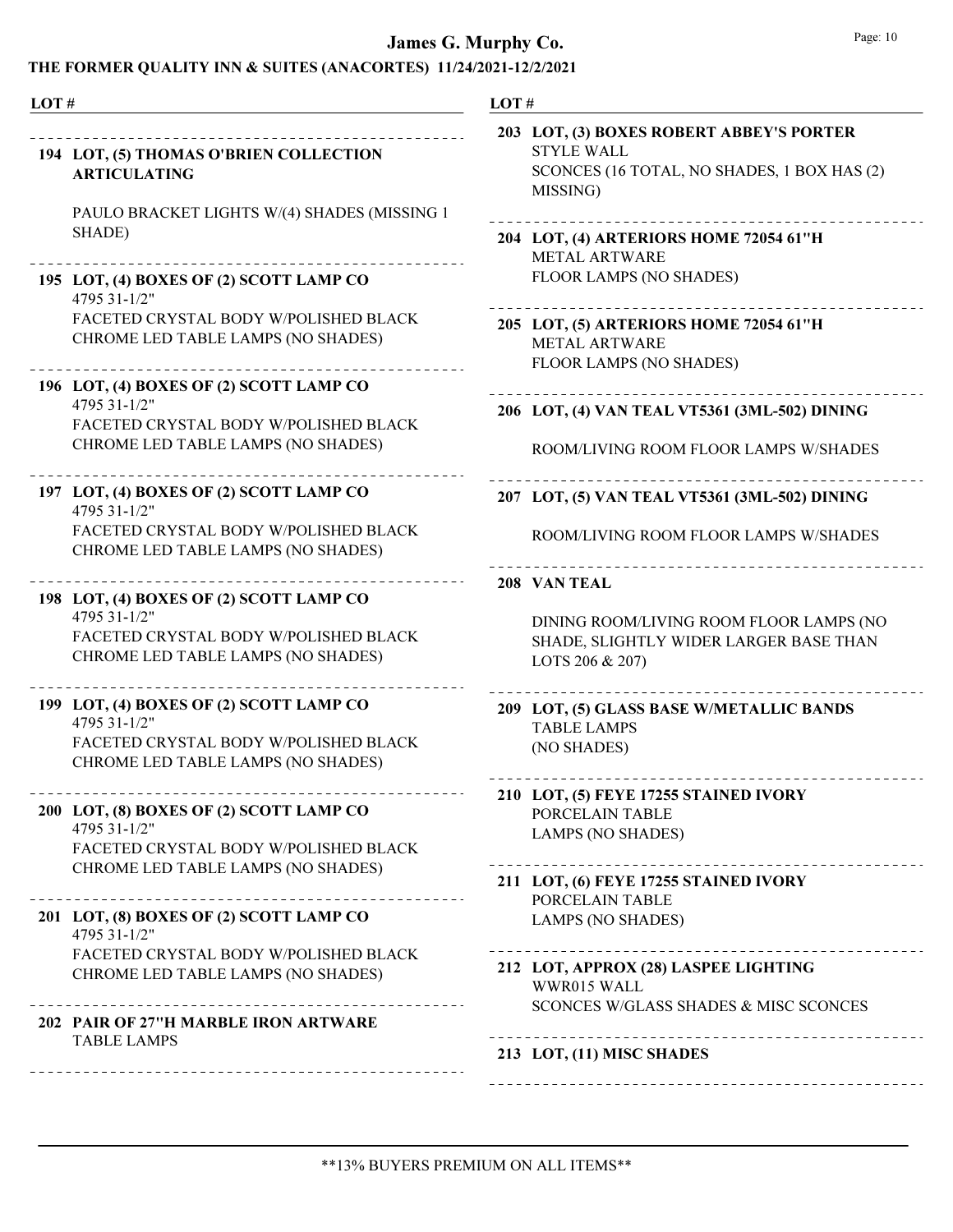| LOT# |                                                                              | LOT#                                            |
|------|------------------------------------------------------------------------------|-------------------------------------------------|
|      | 194 LOT, (5) THOMAS O'BRIEN COLLECTION<br><b>ARTICULATING</b>                | 203 LO<br>S <sub>1</sub><br>S <sub>C</sub><br>M |
|      | PAULO BRACKET LIGHTS W/(4) SHADES (MISSING 1<br>SHADE)                       | 204 LO<br>M                                     |
|      | 195 LOT, (4) BOXES OF (2) SCOTT LAMP CO<br>4795 31-1/2"                      | FL                                              |
|      | FACETED CRYSTAL BODY W/POLISHED BLACK<br>CHROME LED TABLE LAMPS (NO SHADES)  | 205 LO<br>M<br>FL                               |
|      | 196 LOT, (4) BOXES OF (2) SCOTT LAMP CO<br>4795 31-1/2"                      |                                                 |
|      | FACETED CRYSTAL BODY W/POLISHED BLACK                                        | 206 LO                                          |
|      | CHROME LED TABLE LAMPS (NO SHADES)                                           | R(                                              |
|      | 197 LOT, (4) BOXES OF (2) SCOTT LAMP CO<br>4795 31-1/2"                      | $207$ LO                                        |
|      | FACETED CRYSTAL BODY W/POLISHED BLACK<br>CHROME LED TABLE LAMPS (NO SHADES)  | R(                                              |
|      | 198 LOT, (4) BOXES OF (2) SCOTT LAMP CO                                      | $208 \text{ V}$                                 |
|      | 4795 31-1/2"<br>FACETED CRYSTAL BODY W/POLISHED BLACK                        | DI<br><b>SF</b>                                 |
|      | CHROME LED TABLE LAMPS (NO SHADES)                                           | L(                                              |
|      | 199 LOT, (4) BOXES OF (2) SCOTT LAMP CO<br>4795 31-1/2"                      | 209 LO<br>T/                                    |
|      | FACETED CRYSTAL BODY W/POLISHED BLACK                                        | (N)                                             |
|      | CHROME LED TABLE LAMPS (NO SHADES)                                           |                                                 |
|      | ---------<br>200 LOT, (8) BOXES OF (2) SCOTT LAMP CO<br>4795 31-1/2"         | 210 LC<br>P <sub>C</sub>                        |
|      | FACETED CRYSTAL BODY W/POLISHED BLACK                                        | L/                                              |
|      | CHROME LED TABLE LAMPS (NO SHADES)                                           | .<br>211 LO                                     |
|      | _________________<br>201 LOT, (8) BOXES OF (2) SCOTT LAMP CO<br>4795 31-1/2" | P <sub>(</sub><br>L/                            |
|      | FACETED CRYSTAL BODY W/POLISHED BLACK                                        | .<br>212 LO                                     |
|      | CHROME LED TABLE LAMPS (NO SHADES)                                           | W                                               |
|      | 202 PAIR OF 27"H MARBLE IRON ARTWARE                                         | S <sub>C</sub>                                  |
|      | <b>TABLE LAMPS</b>                                                           | 213 LO                                          |
|      |                                                                              | $- - - - - - - -$                               |

| 203 LOT, (3) BOXES ROBERT ABBEY'S PORTER<br><b>STYLE WALL</b><br>SCONCES (16 TOTAL, NO SHADES, 1 BOX HAS (2)<br>MISSING) |
|--------------------------------------------------------------------------------------------------------------------------|
| 204 LOT, (4) ARTERIORS HOME 72054 61"H<br><b>METAL ARTWARE</b><br><b>FLOOR LAMPS (NO SHADES)</b>                         |
| 205 LOT, (5) ARTERIORS HOME 72054 61"H<br><b>METAL ARTWARE</b><br>FLOOR LAMPS (NO SHADES)                                |
| 206 LOT, (4) VAN TEAL VT5361 (3ML-502) DINING                                                                            |
| ROOM/LIVING ROOM FLOOR LAMPS W/SHADES                                                                                    |
| 207 LOT, (5) VAN TEAL VT5361 (3ML-502) DINING                                                                            |
| ROOM/LIVING ROOM FLOOR LAMPS W/SHADES                                                                                    |
| 208 VAN TEAL                                                                                                             |
| DINING ROOM/LIVING ROOM FLOOR LAMPS (NO<br>SHADE, SLIGHTLY WIDER LARGER BASE THAN<br>LOTS 206 & 207)                     |
| 209 LOT, (5) GLASS BASE W/METALLIC BANDS<br><b>TABLE LAMPS</b><br>(NO SHADES)                                            |
| 210 LOT, (5) FEYE 17255 STAINED IVORY<br>PORCELAIN TABLE<br><b>LAMPS (NO SHADES)</b>                                     |
| 211 LOT, (6) FEYE 17255 STAINED IVORY<br>PORCELAIN TABLE<br><b>LAMPS (NO SHADES)</b>                                     |
| 212 LOT, APPROX (28) LASPEE LIGHTING<br>WWR015 WALL<br>SCONCES W/GLASS SHADES & MISC SCONCES                             |
| 213 LOT, (11) MISC SHADES                                                                                                |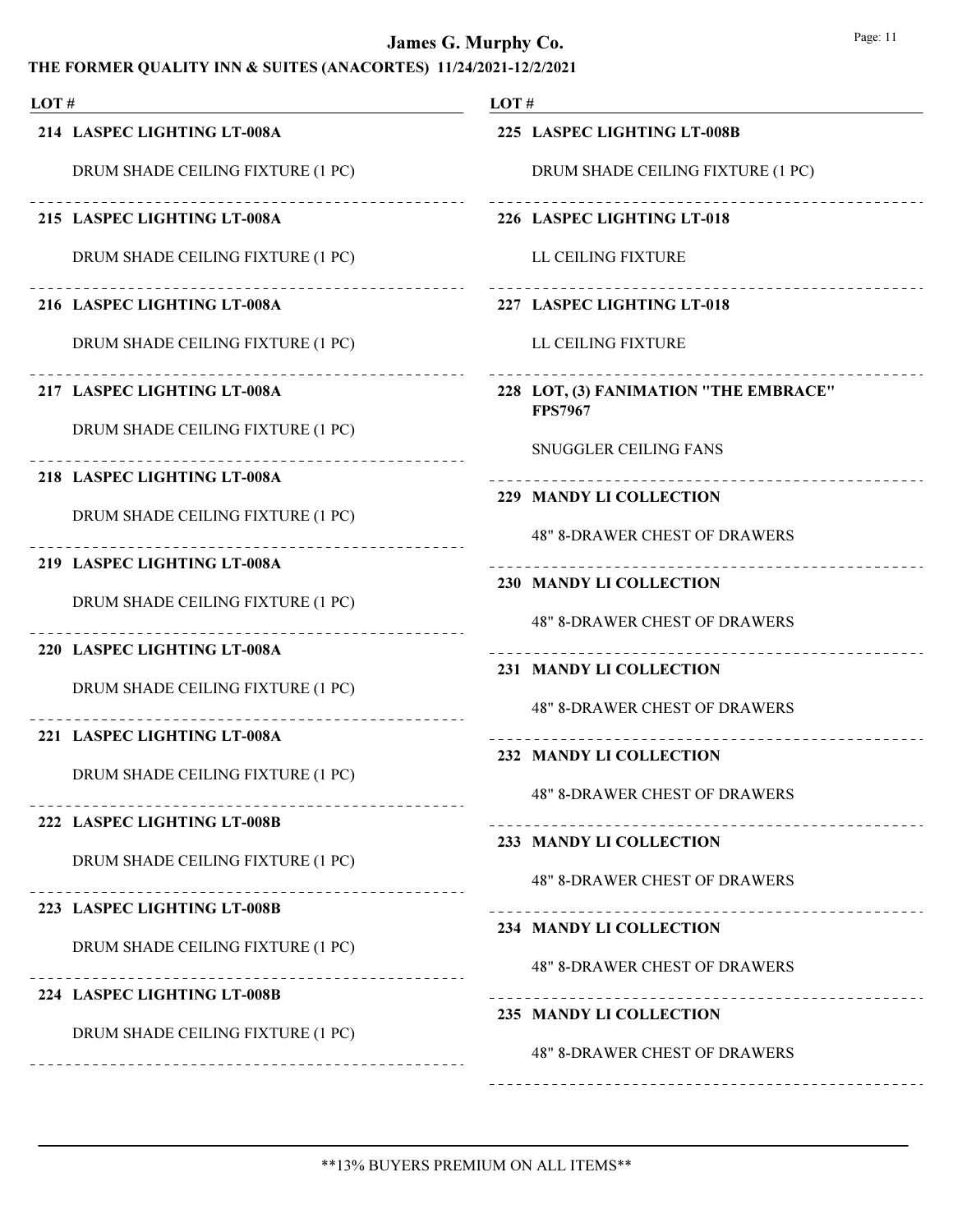| LOT#                                                     | LOT $#$                                                         |
|----------------------------------------------------------|-----------------------------------------------------------------|
| 214 LASPEC LIGHTING LT-008A                              | 225 LASPEC LIGHTING LT-008B                                     |
| DRUM SHADE CEILING FIXTURE (1 PC)                        | DRUM SHADE CEILING FIXTURE (1 PC)                               |
| -------------------<br>215 LASPEC LIGHTING LT-008A       | 226 LASPEC LIGHTING LT-018                                      |
| DRUM SHADE CEILING FIXTURE (1 PC)                        | LL CEILING FIXTURE                                              |
| 216 LASPEC LIGHTING LT-008A                              | 227 LASPEC LIGHTING LT-018                                      |
| DRUM SHADE CEILING FIXTURE (1 PC)                        | LL CEILING FIXTURE                                              |
| 217 LASPEC LIGHTING LT-008A                              | 228 LOT, (3) FANIMATION "THE EMBRACE"<br><b>FPS7967</b>         |
| DRUM SHADE CEILING FIXTURE (1 PC)                        | SNUGGLER CEILING FANS                                           |
| 218 LASPEC LIGHTING LT-008A                              | 229 MANDY LI COLLECTION                                         |
| DRUM SHADE CEILING FIXTURE (1 PC)                        | <b>48" 8-DRAWER CHEST OF DRAWERS</b>                            |
| 219 LASPEC LIGHTING LT-008A                              | 230 MANDY LI COLLECTION                                         |
| DRUM SHADE CEILING FIXTURE (1 PC)                        | <b>48" 8-DRAWER CHEST OF DRAWERS</b>                            |
| _ _ _ _ _ _ _ _ _ _ _ _ _<br>220 LASPEC LIGHTING LT-008A |                                                                 |
| DRUM SHADE CEILING FIXTURE (1 PC)                        | 231 MANDY LI COLLECTION<br><b>48" 8-DRAWER CHEST OF DRAWERS</b> |
| 221 LASPEC LIGHTING LT-008A                              |                                                                 |
| DRUM SHADE CEILING FIXTURE (1 PC)                        | 232 MANDY LI COLLECTION                                         |
| 222 LASPEC LIGHTING LT-008B                              | <b>48" 8-DRAWER CHEST OF DRAWERS</b>                            |
| DRUM SHADE CEILING FIXTURE (1 PC)                        | 233 MANDY LI COLLECTION                                         |
|                                                          | <b>48" 8-DRAWER CHEST OF DRAWERS</b>                            |
| 223 LASPEC LIGHTING LT-008B                              | 234 MANDY LI COLLECTION                                         |
| DRUM SHADE CEILING FIXTURE (1 PC)                        | <b>48" 8-DRAWER CHEST OF DRAWERS</b>                            |
| 224 LASPEC LIGHTING LT-008B                              | 235 MANDY LI COLLECTION                                         |
| DRUM SHADE CEILING FIXTURE (1 PC)                        | <b>48" 8-DRAWER CHEST OF DRAWERS</b>                            |
|                                                          |                                                                 |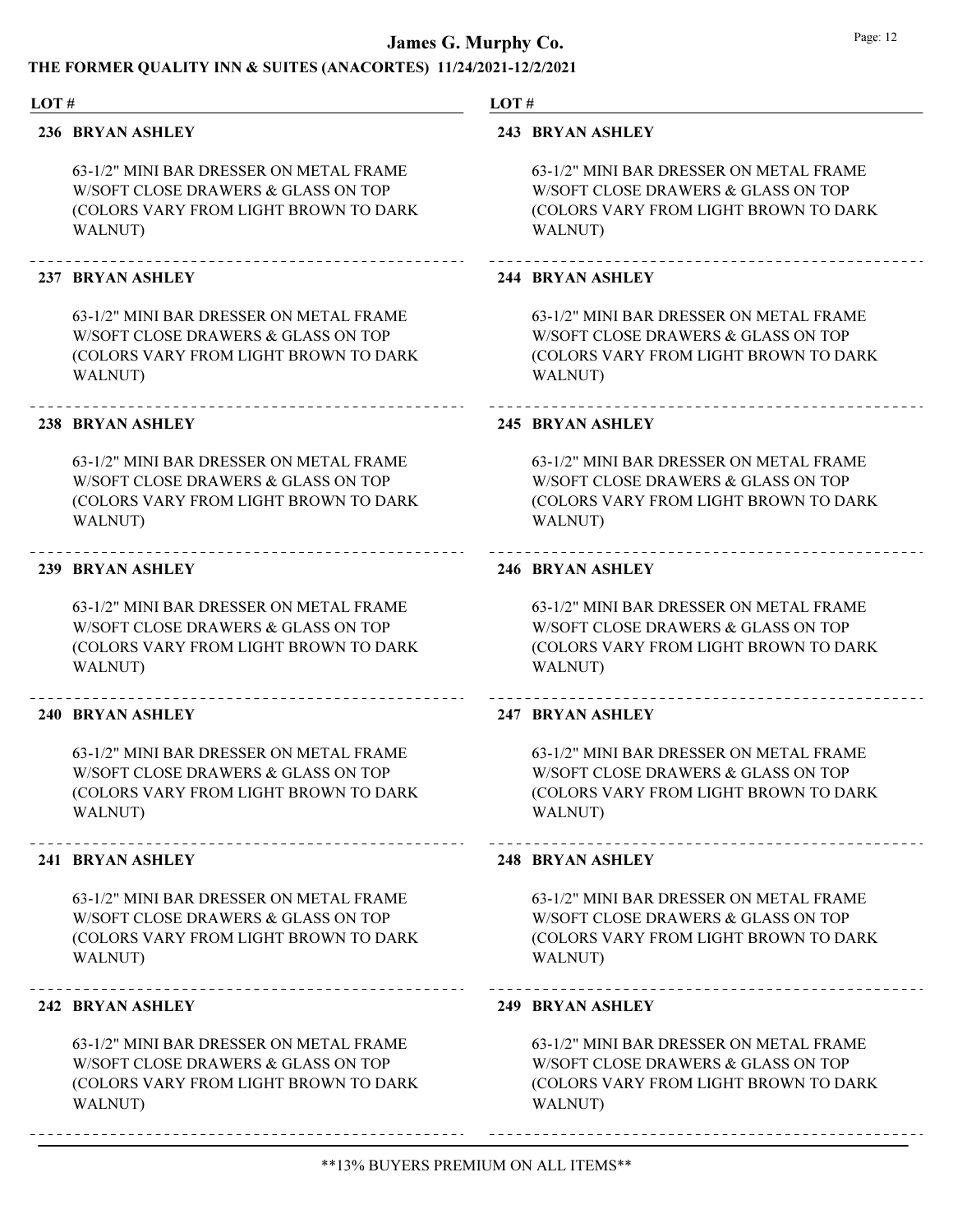#### THE FORMER QUALITY INN & SUITES (ANACORTES) 11/24/2021-12/2/2021

#### LOT #

#### 236 BRYAN ASHLEY

63-1/2" MINI BAR DRESSER ON METAL FRAME W/SOFT CLOSE DRAWERS & GLASS ON TOP (COLORS VARY FROM LIGHT BROWN TO DARK WALNUT)

#### 237 BRYAN ASHLEY

63-1/2" MINI BAR DRESSER ON METAL FRAME W/SOFT CLOSE DRAWERS & GLASS ON TOP (COLORS VARY FROM LIGHT BROWN TO DARK WALNUT)

#### 238 BRYAN ASHLEY

63-1/2" MINI BAR DRESSER ON METAL FRAME W/SOFT CLOSE DRAWERS & GLASS ON TOP (COLORS VARY FROM LIGHT BROWN TO DARK WALNUT)

#### 239 BRYAN ASHLEY

63-1/2" MINI BAR DRESSER ON METAL FRAME W/SOFT CLOSE DRAWERS & GLASS ON TOP (COLORS VARY FROM LIGHT BROWN TO DARK WALNUT)

#### 240 BRYAN ASHLEY

63-1/2" MINI BAR DRESSER ON METAL FRAME W/SOFT CLOSE DRAWERS & GLASS ON TOP (COLORS VARY FROM LIGHT BROWN TO DARK WALNUT)

#### 241 BRYAN ASHLEY

63-1/2" MINI BAR DRESSER ON METAL FRAME W/SOFT CLOSE DRAWERS & GLASS ON TOP (COLORS VARY FROM LIGHT BROWN TO DARK WALNUT)

#### 242 BRYAN ASHLEY

63-1/2" MINI BAR DRESSER ON METAL FRAME W/SOFT CLOSE DRAWERS & GLASS ON TOP (COLORS VARY FROM LIGHT BROWN TO DARK WALNUT)

#### LOT #

#### 243 BRYAN ASHLEY

63-1/2" MINI BAR DRESSER ON METAL FRAME W/SOFT CLOSE DRAWERS & GLASS ON TOP (COLORS VARY FROM LIGHT BROWN TO DARK WALNUT)

#### 244 BRYAN ASHLEY

63-1/2" MINI BAR DRESSER ON METAL FRAME W/SOFT CLOSE DRAWERS & GLASS ON TOP (COLORS VARY FROM LIGHT BROWN TO DARK WALNUT)

#### 245 BRYAN ASHLEY

63-1/2" MINI BAR DRESSER ON METAL FRAME W/SOFT CLOSE DRAWERS & GLASS ON TOP (COLORS VARY FROM LIGHT BROWN TO DARK WALNUT)

#### 246 BRYAN ASHLEY

63-1/2" MINI BAR DRESSER ON METAL FRAME W/SOFT CLOSE DRAWERS & GLASS ON TOP (COLORS VARY FROM LIGHT BROWN TO DARK WALNUT)

#### 247 BRYAN ASHLEY

63-1/2" MINI BAR DRESSER ON METAL FRAME W/SOFT CLOSE DRAWERS & GLASS ON TOP (COLORS VARY FROM LIGHT BROWN TO DARK WALNUT)

#### 248 BRYAN ASHLEY

63-1/2" MINI BAR DRESSER ON METAL FRAME W/SOFT CLOSE DRAWERS & GLASS ON TOP (COLORS VARY FROM LIGHT BROWN TO DARK WALNUT)

#### 249 BRYAN ASHLEY

63-1/2" MINI BAR DRESSER ON METAL FRAME W/SOFT CLOSE DRAWERS & GLASS ON TOP (COLORS VARY FROM LIGHT BROWN TO DARK WALNUT)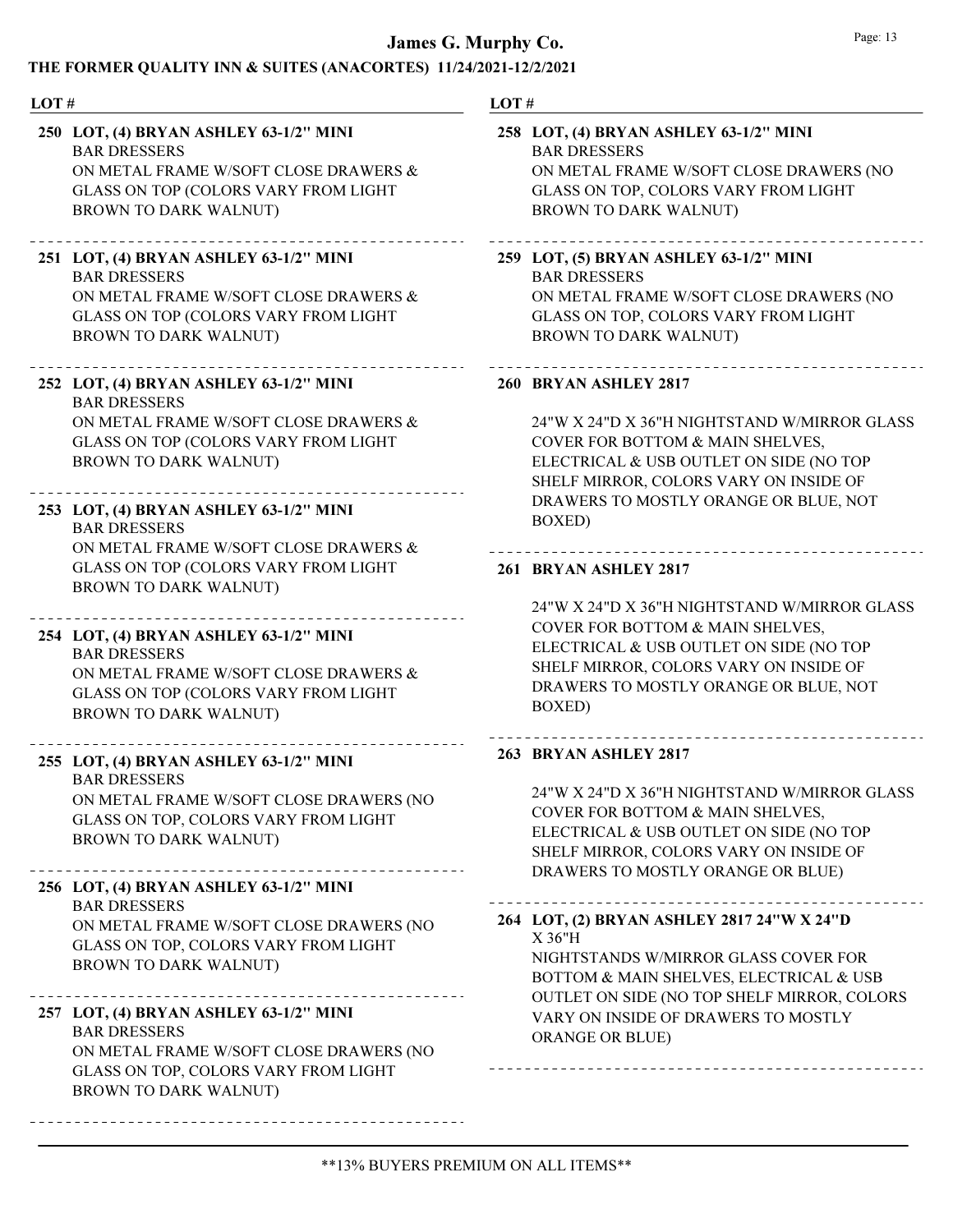#### THE FORMER QUALITY INN & SUITES (ANACORTES) 11/24/2021-12/2/2021

#### LOT #

BAR DRESSERS ON METAL FRAME W/SOFT CLOSE DRAWERS & GLASS ON TOP (COLORS VARY FROM LIGHT BROWN TO DARK WALNUT) 250 LOT, (4) BRYAN ASHLEY 63-1/2" MINI

#### \_\_\_\_\_\_\_\_\_\_\_\_\_\_\_\_\_\_\_\_\_\_\_\_\_\_\_\_\_\_\_\_\_\_\_\_

BAR DRESSERS ON METAL FRAME W/SOFT CLOSE DRAWERS & GLASS ON TOP (COLORS VARY FROM LIGHT BROWN TO DARK WALNUT) 251 LOT, (4) BRYAN ASHLEY 63-1/2" MINI

#### 252 LOT, (4) BRYAN ASHLEY 63-1/2" MINI

BAR DRESSERS ON METAL FRAME W/SOFT CLOSE DRAWERS & GLASS ON TOP (COLORS VARY FROM LIGHT BROWN TO DARK WALNUT)

#### BAR DRESSERS 253 LOT, (4) BRYAN ASHLEY 63-1/2" MINI

ON METAL FRAME W/SOFT CLOSE DRAWERS & GLASS ON TOP (COLORS VARY FROM LIGHT BROWN TO DARK WALNUT)

#### 254 LOT, (4) BRYAN ASHLEY 63-1/2" MINI

#### BAR DRESSERS ON METAL FRAME W/SOFT CLOSE DRAWERS & GLASS ON TOP (COLORS VARY FROM LIGHT BROWN TO DARK WALNUT)

#### \_\_\_\_\_\_\_\_\_\_\_\_\_\_\_\_\_\_\_\_\_\_\_\_\_\_\_\_\_ 255 LOT, (4) BRYAN ASHLEY 63-1/2" MINI BAR DRESSERS ON METAL FRAME W/SOFT CLOSE DRAWERS (NO

GLASS ON TOP, COLORS VARY FROM LIGHT BROWN TO DARK WALNUT)

#### 256 LOT, (4) BRYAN ASHLEY 63-1/2" MINI

BAR DRESSERS ON METAL FRAME W/SOFT CLOSE DRAWERS (NO GLASS ON TOP, COLORS VARY FROM LIGHT BROWN TO DARK WALNUT)

### 

BAR DRESSERS ON METAL FRAME W/SOFT CLOSE DRAWERS (NO GLASS ON TOP, COLORS VARY FROM LIGHT BROWN TO DARK WALNUT) 257 LOT, (4) BRYAN ASHLEY 63-1/2" MINI

#### LOT #

#### BAR DRESSERS ON METAL FRAME W/SOFT CLOSE DRAWERS (NO GLASS ON TOP, COLORS VARY FROM LIGHT BROWN TO DARK WALNUT) 258 LOT, (4) BRYAN ASHLEY 63-1/2" MINI

#### 

BAR DRESSERS ON METAL FRAME W/SOFT CLOSE DRAWERS (NO GLASS ON TOP, COLORS VARY FROM LIGHT BROWN TO DARK WALNUT) 259 LOT, (5) BRYAN ASHLEY 63-1/2" MINI

#### 260 BRYAN ASHLEY 2817

24"W X 24"D X 36"H NIGHTSTAND W/MIRROR GLASS COVER FOR BOTTOM & MAIN SHELVES, ELECTRICAL & USB OUTLET ON SIDE (NO TOP SHELF MIRROR, COLORS VARY ON INSIDE OF DRAWERS TO MOSTLY ORANGE OR BLUE, NOT BOXED)

#### 261 BRYAN ASHLEY 2817

24"W X 24"D X 36"H NIGHTSTAND W/MIRROR GLASS COVER FOR BOTTOM & MAIN SHELVES, ELECTRICAL & USB OUTLET ON SIDE (NO TOP SHELF MIRROR, COLORS VARY ON INSIDE OF DRAWERS TO MOSTLY ORANGE OR BLUE, NOT BOXED)

#### 263 BRYAN ASHLEY 2817

24"W X 24"D X 36"H NIGHTSTAND W/MIRROR GLASS COVER FOR BOTTOM & MAIN SHELVES, ELECTRICAL & USB OUTLET ON SIDE (NO TOP SHELF MIRROR, COLORS VARY ON INSIDE OF DRAWERS TO MOSTLY ORANGE OR BLUE)

#### X 36"H 264 LOT, (2) BRYAN ASHLEY 2817 24"W X 24"D

NIGHTSTANDS W/MIRROR GLASS COVER FOR BOTTOM & MAIN SHELVES, ELECTRICAL & USB OUTLET ON SIDE (NO TOP SHELF MIRROR, COLORS VARY ON INSIDE OF DRAWERS TO MOSTLY ORANGE OR BLUE)

\_\_\_\_\_\_\_\_\_\_\_\_\_\_\_\_\_\_\_\_\_\_\_\_\_\_\_\_\_\_\_\_\_\_\_\_

\*\*13% BUYERS PREMIUM ON ALL ITEMS\*\*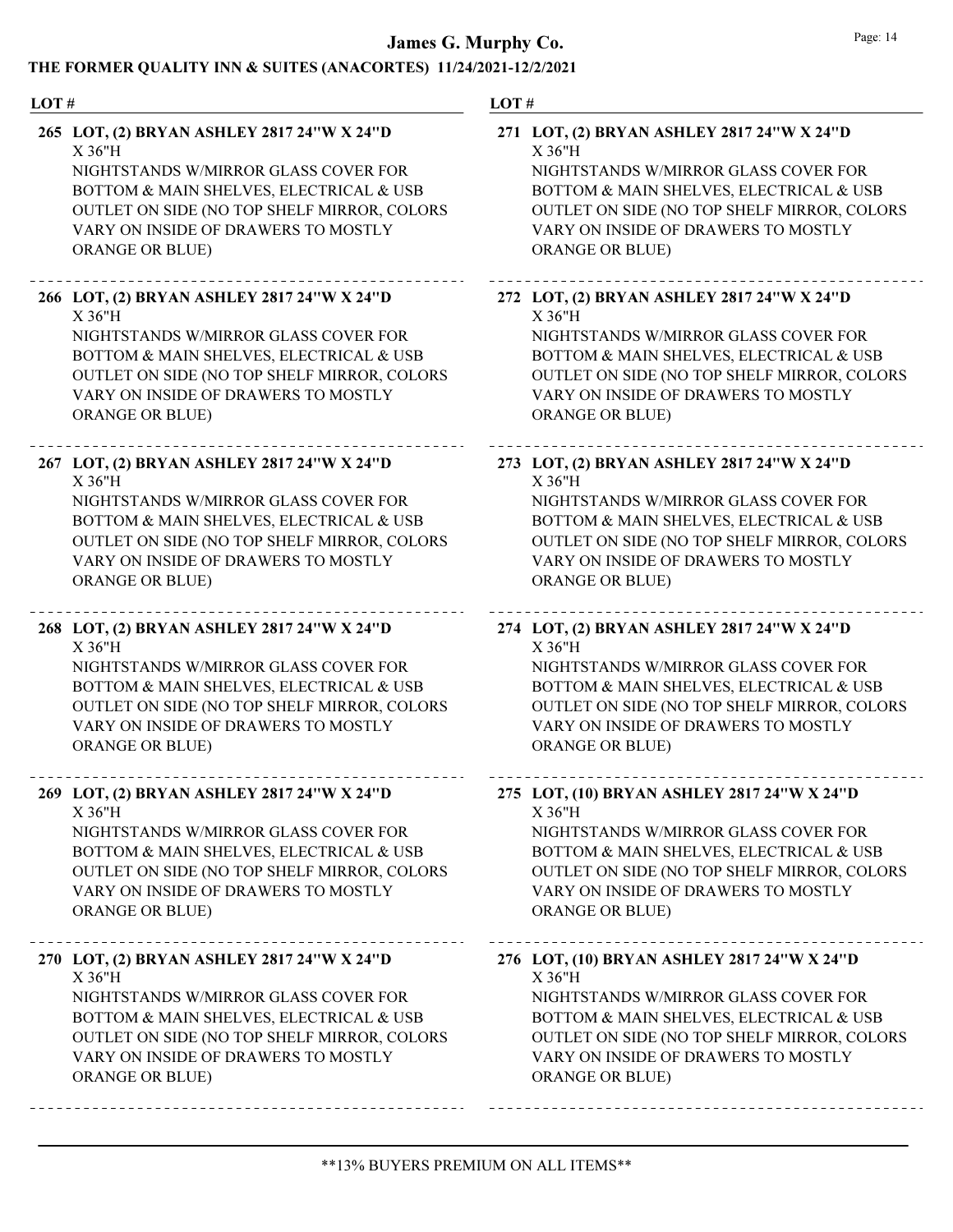| THE PONMER QUALITT THINK SUITES (ANACONTES) THZ#/2021-12/2/2021<br>LOT# | LOT#                                        |
|-------------------------------------------------------------------------|---------------------------------------------|
| 265 LOT, (2) BRYAN ASHLEY 2817 24"W X 24"D                              | 271 LOT, (2) BRYAN ASHLEY 2817 24"W X 24"D  |
| X 36"H                                                                  | X 36"H                                      |
| NIGHTSTANDS W/MIRROR GLASS COVER FOR                                    | NIGHTSTANDS W/MIRROR GLASS COVER FOR        |
| BOTTOM & MAIN SHELVES, ELECTRICAL & USB                                 | BOTTOM & MAIN SHELVES, ELECTRICAL & USB     |
| OUTLET ON SIDE (NO TOP SHELF MIRROR, COLORS                             | OUTLET ON SIDE (NO TOP SHELF MIRROR, COLORS |
| VARY ON INSIDE OF DRAWERS TO MOSTLY                                     | VARY ON INSIDE OF DRAWERS TO MOSTLY         |
| <b>ORANGE OR BLUE)</b>                                                  | <b>ORANGE OR BLUE)</b>                      |
| 266 LOT, (2) BRYAN ASHLEY 2817 24"W X 24"D                              | 272 LOT, (2) BRYAN ASHLEY 2817 24"W X 24"D  |
| X 36"H                                                                  | $X$ 36"H                                    |
| NIGHTSTANDS W/MIRROR GLASS COVER FOR                                    | NIGHTSTANDS W/MIRROR GLASS COVER FOR        |
| BOTTOM & MAIN SHELVES, ELECTRICAL & USB                                 | BOTTOM & MAIN SHELVES, ELECTRICAL & USB     |
| OUTLET ON SIDE (NO TOP SHELF MIRROR, COLORS                             | OUTLET ON SIDE (NO TOP SHELF MIRROR, COLORS |
| VARY ON INSIDE OF DRAWERS TO MOSTLY                                     | VARY ON INSIDE OF DRAWERS TO MOSTLY         |
| <b>ORANGE OR BLUE)</b>                                                  | <b>ORANGE OR BLUE)</b>                      |
| 267 LOT, (2) BRYAN ASHLEY 2817 24"W X 24"D                              | 273 LOT, (2) BRYAN ASHLEY 2817 24"W X 24"D  |
| X 36"H                                                                  | X36"H                                       |
| NIGHTSTANDS W/MIRROR GLASS COVER FOR                                    | NIGHTSTANDS W/MIRROR GLASS COVER FOR        |
| BOTTOM & MAIN SHELVES, ELECTRICAL & USB                                 | BOTTOM & MAIN SHELVES, ELECTRICAL & USB     |
| OUTLET ON SIDE (NO TOP SHELF MIRROR, COLORS                             | OUTLET ON SIDE (NO TOP SHELF MIRROR, COLORS |
| VARY ON INSIDE OF DRAWERS TO MOSTLY                                     | VARY ON INSIDE OF DRAWERS TO MOSTLY         |
| ORANGE OR BLUE)                                                         | <b>ORANGE OR BLUE)</b>                      |
| 268 LOT, (2) BRYAN ASHLEY 2817 24"W X 24"D                              | 274 LOT, (2) BRYAN ASHLEY 2817 24"W X 24"D  |
| X 36"H                                                                  | $X$ 36"H                                    |
| NIGHTSTANDS W/MIRROR GLASS COVER FOR                                    | NIGHTSTANDS W/MIRROR GLASS COVER FOR        |
| BOTTOM & MAIN SHELVES, ELECTRICAL & USB                                 | BOTTOM & MAIN SHELVES, ELECTRICAL & USB     |
| OUTLET ON SIDE (NO TOP SHELF MIRROR, COLORS                             | OUTLET ON SIDE (NO TOP SHELF MIRROR, COLORS |
| VARY ON INSIDE OF DRAWERS TO MOSTLY                                     | VARY ON INSIDE OF DRAWERS TO MOSTLY         |
| <b>ORANGE OR BLUE)</b>                                                  | <b>ORANGE OR BLUE)</b>                      |
| 269 LOT, (2) BRYAN ASHLEY 2817 24"W X 24"D                              | 275 LOT, (10) BRYAN ASHLEY 2817 24"W X 24"D |
| X 36"H                                                                  | X 36"H                                      |
| NIGHTSTANDS W/MIRROR GLASS COVER FOR                                    | NIGHTSTANDS W/MIRROR GLASS COVER FOR        |
| BOTTOM & MAIN SHELVES, ELECTRICAL & USB                                 | BOTTOM & MAIN SHELVES, ELECTRICAL & USB     |
| OUTLET ON SIDE (NO TOP SHELF MIRROR, COLORS                             | OUTLET ON SIDE (NO TOP SHELF MIRROR, COLORS |
| VARY ON INSIDE OF DRAWERS TO MOSTLY                                     | VARY ON INSIDE OF DRAWERS TO MOSTLY         |
| <b>ORANGE OR BLUE)</b>                                                  | <b>ORANGE OR BLUE)</b>                      |
| 270 LOT, (2) BRYAN ASHLEY 2817 24"W X 24"D                              | 276 LOT, (10) BRYAN ASHLEY 2817 24"W X 24"D |
| X 36"H                                                                  | X 36"H                                      |
| NIGHTSTANDS W/MIRROR GLASS COVER FOR                                    | NIGHTSTANDS W/MIRROR GLASS COVER FOR        |
| BOTTOM & MAIN SHELVES, ELECTRICAL & USB                                 | BOTTOM & MAIN SHELVES, ELECTRICAL & USB     |
| OUTLET ON SIDE (NO TOP SHELF MIRROR, COLORS                             | OUTLET ON SIDE (NO TOP SHELF MIRROR, COLORS |
| VARY ON INSIDE OF DRAWERS TO MOSTLY                                     | VARY ON INSIDE OF DRAWERS TO MOSTLY         |
| ORANGE OR BLUE)                                                         | <b>ORANGE OR BLUE)</b>                      |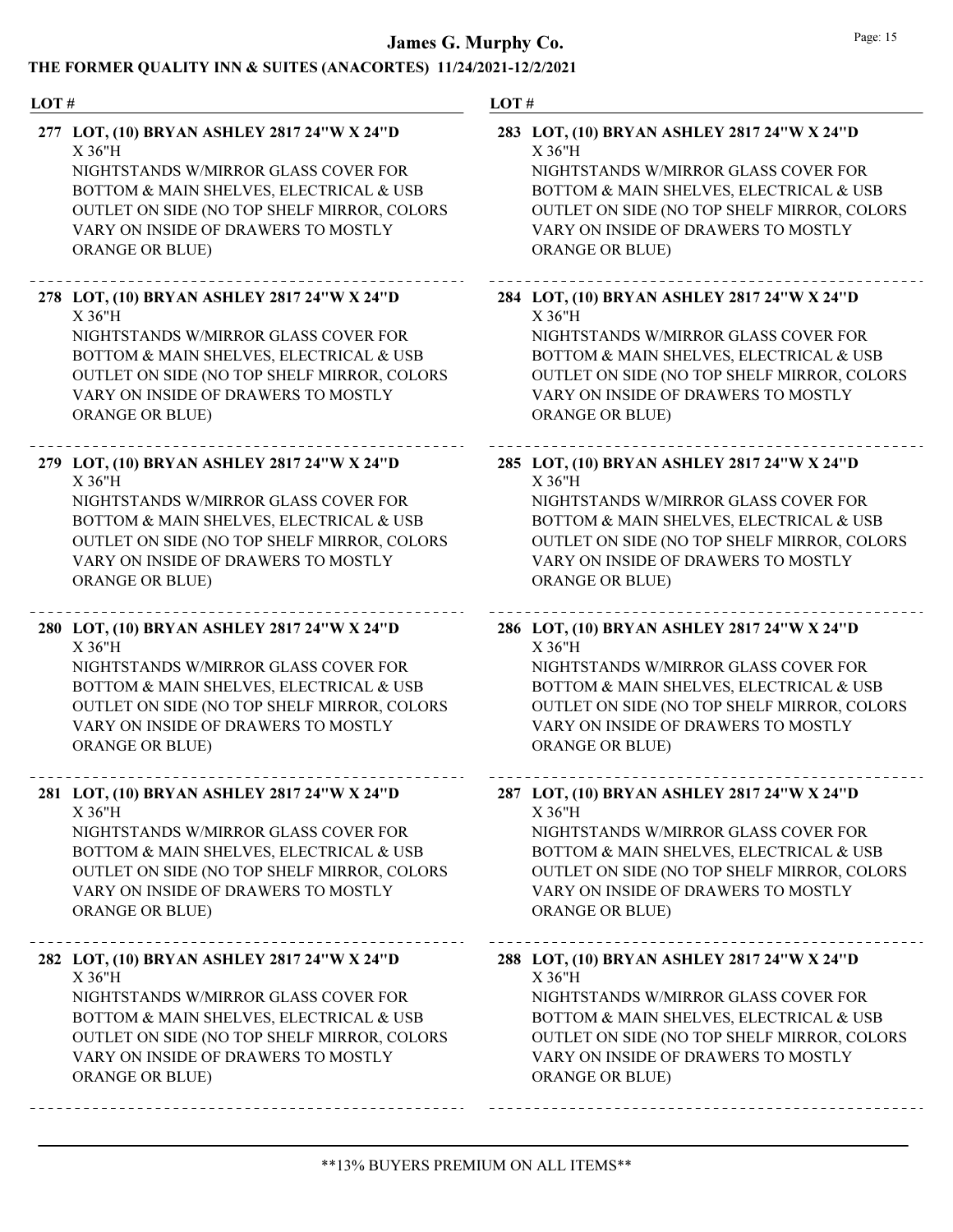| LOT# |                                                                                                                                                                                                                                                            | LOT# |                                                                                                                                                                                                                                                            |
|------|------------------------------------------------------------------------------------------------------------------------------------------------------------------------------------------------------------------------------------------------------------|------|------------------------------------------------------------------------------------------------------------------------------------------------------------------------------------------------------------------------------------------------------------|
|      | 277 LOT, (10) BRYAN ASHLEY 2817 24"W X 24"D<br>$X$ 36"H<br>NIGHTSTANDS W/MIRROR GLASS COVER FOR<br>BOTTOM & MAIN SHELVES, ELECTRICAL & USB<br>OUTLET ON SIDE (NO TOP SHELF MIRROR, COLORS<br>VARY ON INSIDE OF DRAWERS TO MOSTLY<br><b>ORANGE OR BLUE)</b> |      | 283 LOT, (10) BRYAN ASHLEY 2817 24"W X 24"D<br>$X$ 36"H<br>NIGHTSTANDS W/MIRROR GLASS COVER FOR<br>BOTTOM & MAIN SHELVES, ELECTRICAL & USB<br>OUTLET ON SIDE (NO TOP SHELF MIRROR, COLORS<br>VARY ON INSIDE OF DRAWERS TO MOSTLY<br><b>ORANGE OR BLUE)</b> |
|      | 278 LOT, (10) BRYAN ASHLEY 2817 24"W X 24"D<br>$X$ 36"H<br>NIGHTSTANDS W/MIRROR GLASS COVER FOR<br>BOTTOM & MAIN SHELVES, ELECTRICAL & USB<br>OUTLET ON SIDE (NO TOP SHELF MIRROR, COLORS<br>VARY ON INSIDE OF DRAWERS TO MOSTLY<br><b>ORANGE OR BLUE)</b> |      | 284 LOT, (10) BRYAN ASHLEY 2817 24"W X 24"D<br>$X$ 36"H<br>NIGHTSTANDS W/MIRROR GLASS COVER FOR<br>BOTTOM & MAIN SHELVES, ELECTRICAL & USB<br>OUTLET ON SIDE (NO TOP SHELF MIRROR, COLORS<br>VARY ON INSIDE OF DRAWERS TO MOSTLY<br><b>ORANGE OR BLUE)</b> |
|      | 279 LOT, (10) BRYAN ASHLEY 2817 24"W X 24"D<br>$X$ 36"H<br>NIGHTSTANDS W/MIRROR GLASS COVER FOR<br>BOTTOM & MAIN SHELVES, ELECTRICAL & USB<br>OUTLET ON SIDE (NO TOP SHELF MIRROR, COLORS<br>VARY ON INSIDE OF DRAWERS TO MOSTLY<br>ORANGE OR BLUE)        |      | 285 LOT, (10) BRYAN ASHLEY 2817 24"W X 24"D<br>$X$ 36"H<br>NIGHTSTANDS W/MIRROR GLASS COVER FOR<br>BOTTOM & MAIN SHELVES, ELECTRICAL & USB<br>OUTLET ON SIDE (NO TOP SHELF MIRROR, COLORS<br>VARY ON INSIDE OF DRAWERS TO MOSTLY<br><b>ORANGE OR BLUE)</b> |
|      | 280 LOT, (10) BRYAN ASHLEY 2817 24"W X 24"D<br>$X$ 36"H<br>NIGHTSTANDS W/MIRROR GLASS COVER FOR<br>BOTTOM & MAIN SHELVES, ELECTRICAL & USB<br>OUTLET ON SIDE (NO TOP SHELF MIRROR, COLORS<br>VARY ON INSIDE OF DRAWERS TO MOSTLY<br>ORANGE OR BLUE)        |      | 286 LOT, (10) BRYAN ASHLEY 2817 24"W X 24"D<br>X36"H<br>NIGHTSTANDS W/MIRROR GLASS COVER FOR<br>BOTTOM & MAIN SHELVES, ELECTRICAL & USB<br>OUTLET ON SIDE (NO TOP SHELF MIRROR, COLORS<br>VARY ON INSIDE OF DRAWERS TO MOSTLY<br><b>ORANGE OR BLUE)</b>    |
|      | 281 LOT, (10) BRYAN ASHLEY 2817 24"W X 24"D<br>X 36"H<br>NIGHTSTANDS W/MIRROR GLASS COVER FOR<br>BOTTOM & MAIN SHELVES, ELECTRICAL & USB<br>OUTLET ON SIDE (NO TOP SHELF MIRROR, COLORS<br>VARY ON INSIDE OF DRAWERS TO MOSTLY<br><b>ORANGE OR BLUE)</b>   |      | 287 LOT, (10) BRYAN ASHLEY 2817 24"W X 24"D<br>X 36"H<br>NIGHTSTANDS W/MIRROR GLASS COVER FOR<br>BOTTOM & MAIN SHELVES, ELECTRICAL & USB<br>OUTLET ON SIDE (NO TOP SHELF MIRROR, COLORS<br>VARY ON INSIDE OF DRAWERS TO MOSTLY<br><b>ORANGE OR BLUE)</b>   |
|      | 282 LOT, (10) BRYAN ASHLEY 2817 24"W X 24"D<br>X 36"H<br>NIGHTSTANDS W/MIRROR GLASS COVER FOR<br>BOTTOM & MAIN SHELVES, ELECTRICAL & USB<br>OUTLET ON SIDE (NO TOP SHELF MIRROR, COLORS<br>VARY ON INSIDE OF DRAWERS TO MOSTLY<br>ORANGE OR BLUE)          |      | 288 LOT, (10) BRYAN ASHLEY 2817 24"W X 24"D<br>X 36"H<br>NIGHTSTANDS W/MIRROR GLASS COVER FOR<br>BOTTOM & MAIN SHELVES, ELECTRICAL & USB<br>OUTLET ON SIDE (NO TOP SHELF MIRROR, COLORS<br>VARY ON INSIDE OF DRAWERS TO MOSTLY<br><b>ORANGE OR BLUE)</b>   |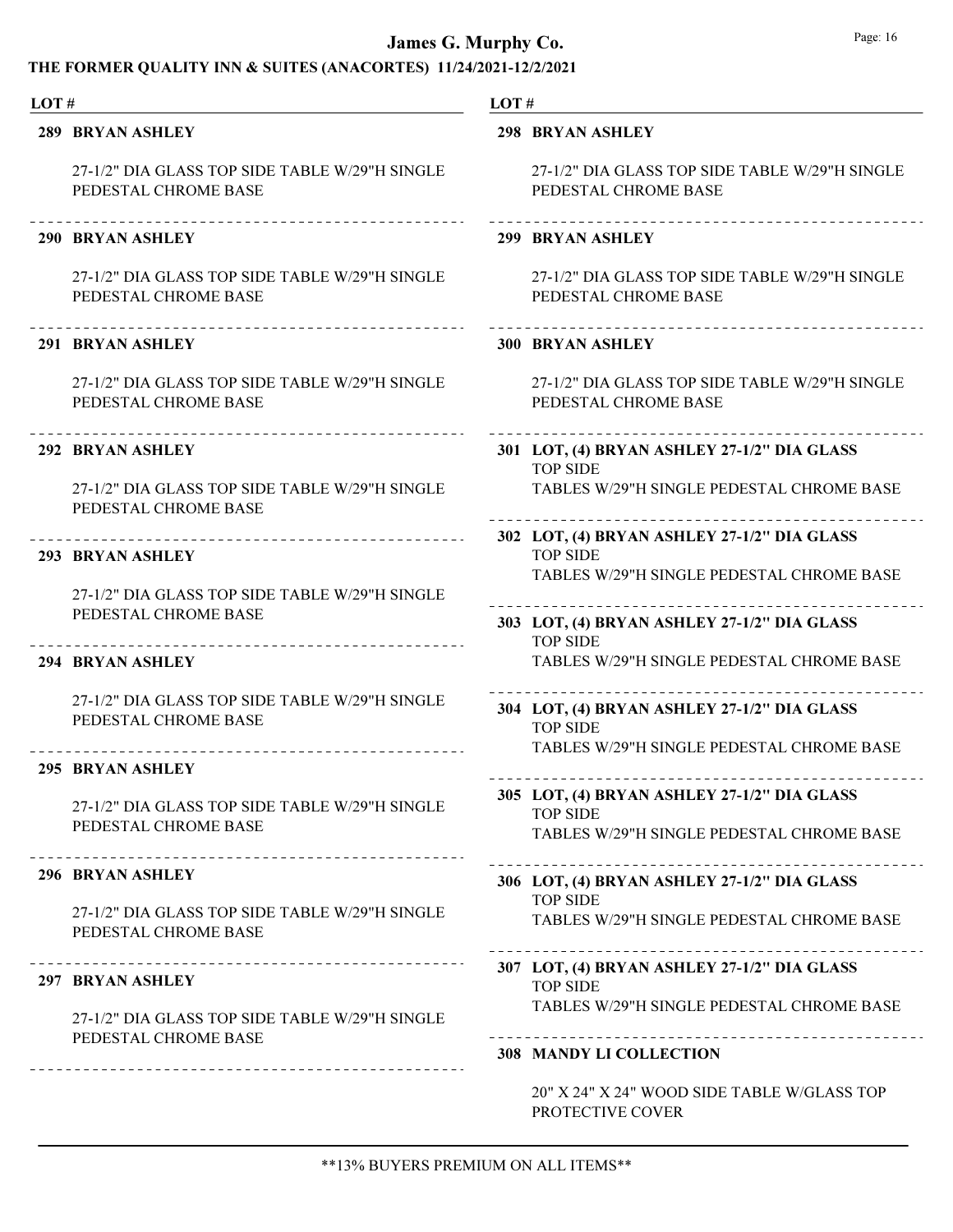| LOT# |                                                                        | LOT# |                                                                                                             |
|------|------------------------------------------------------------------------|------|-------------------------------------------------------------------------------------------------------------|
|      | <b>289 BRYAN ASHLEY</b>                                                |      | 298 BRYAN ASHLEY                                                                                            |
|      | 27-1/2" DIA GLASS TOP SIDE TABLE W/29"H SINGLE<br>PEDESTAL CHROME BASE |      | 27-1/2" DIA GLASS TOP SIDE TABLE W/29"H SINGLE<br>PEDESTAL CHROME BASE                                      |
|      | 290 BRYAN ASHLEY                                                       |      | 299 BRYAN ASHLEY                                                                                            |
|      | 27-1/2" DIA GLASS TOP SIDE TABLE W/29"H SINGLE<br>PEDESTAL CHROME BASE |      | 27-1/2" DIA GLASS TOP SIDE TABLE W/29"H SINGLE<br>PEDESTAL CHROME BASE                                      |
|      | 291 BRYAN ASHLEY                                                       |      | <b>300 BRYAN ASHLEY</b>                                                                                     |
|      | 27-1/2" DIA GLASS TOP SIDE TABLE W/29"H SINGLE<br>PEDESTAL CHROME BASE |      | 27-1/2" DIA GLASS TOP SIDE TABLE W/29"H SINGLE<br>PEDESTAL CHROME BASE                                      |
|      | ____________________________________<br>292 BRYAN ASHLEY               |      | 301 LOT, (4) BRYAN ASHLEY 27-1/2" DIA GLASS<br><b>TOP SIDE</b>                                              |
|      | 27-1/2" DIA GLASS TOP SIDE TABLE W/29"H SINGLE<br>PEDESTAL CHROME BASE |      | TABLES W/29"H SINGLE PEDESTAL CHROME BASE                                                                   |
|      | __________________________________<br>293 BRYAN ASHLEY                 |      | 302 LOT, (4) BRYAN ASHLEY 27-1/2" DIA GLASS<br><b>TOP SIDE</b><br>TABLES W/29"H SINGLE PEDESTAL CHROME BASE |
|      | 27-1/2" DIA GLASS TOP SIDE TABLE W/29"H SINGLE<br>PEDESTAL CHROME BASE |      | 303 LOT, (4) BRYAN ASHLEY 27-1/2" DIA GLASS<br><b>TOP SIDE</b>                                              |
|      | 294 BRYAN ASHLEY                                                       |      | TABLES W/29"H SINGLE PEDESTAL CHROME BASE                                                                   |
|      | 27-1/2" DIA GLASS TOP SIDE TABLE W/29"H SINGLE<br>PEDESTAL CHROME BASE |      | 304 LOT, (4) BRYAN ASHLEY 27-1/2" DIA GLASS<br><b>TOP SIDE</b><br>TABLES W/29"H SINGLE PEDESTAL CHROME BASE |
|      | 295 BRYAN ASHLEY                                                       |      |                                                                                                             |
|      | 27-1/2" DIA GLASS TOP SIDE TABLE W/29"H SINGLE<br>PEDESTAL CHROME BASE |      | 305 LOT, (4) BRYAN ASHLEY 27-1/2" DIA GLASS<br><b>TOP SIDE</b>                                              |
|      | --------------------------------                                       |      | TABLES W/29"H SINGLE PEDESTAL CHROME BASE                                                                   |
|      | 296 BRYAN ASHLEY                                                       |      | 306 LOT, (4) BRYAN ASHLEY 27-1/2" DIA GLASS                                                                 |
|      | 27-1/2" DIA GLASS TOP SIDE TABLE W/29"H SINGLE<br>PEDESTAL CHROME BASE |      | <b>TOP SIDE</b><br>TABLES W/29"H SINGLE PEDESTAL CHROME BASE                                                |
|      | <b>297 BRYAN ASHLEY</b>                                                |      | 307 LOT, (4) BRYAN ASHLEY 27-1/2" DIA GLASS<br><b>TOP SIDE</b>                                              |
|      | 27-1/2" DIA GLASS TOP SIDE TABLE W/29"H SINGLE                         |      | TABLES W/29"H SINGLE PEDESTAL CHROME BASE                                                                   |
|      | PEDESTAL CHROME BASE                                                   |      | <b>308 MANDY LI COLLECTION</b>                                                                              |
|      |                                                                        |      | 20" X 24" X 24" WOOD SIDE TABLE W/GLASS TOP<br>PROTECTIVE COVER                                             |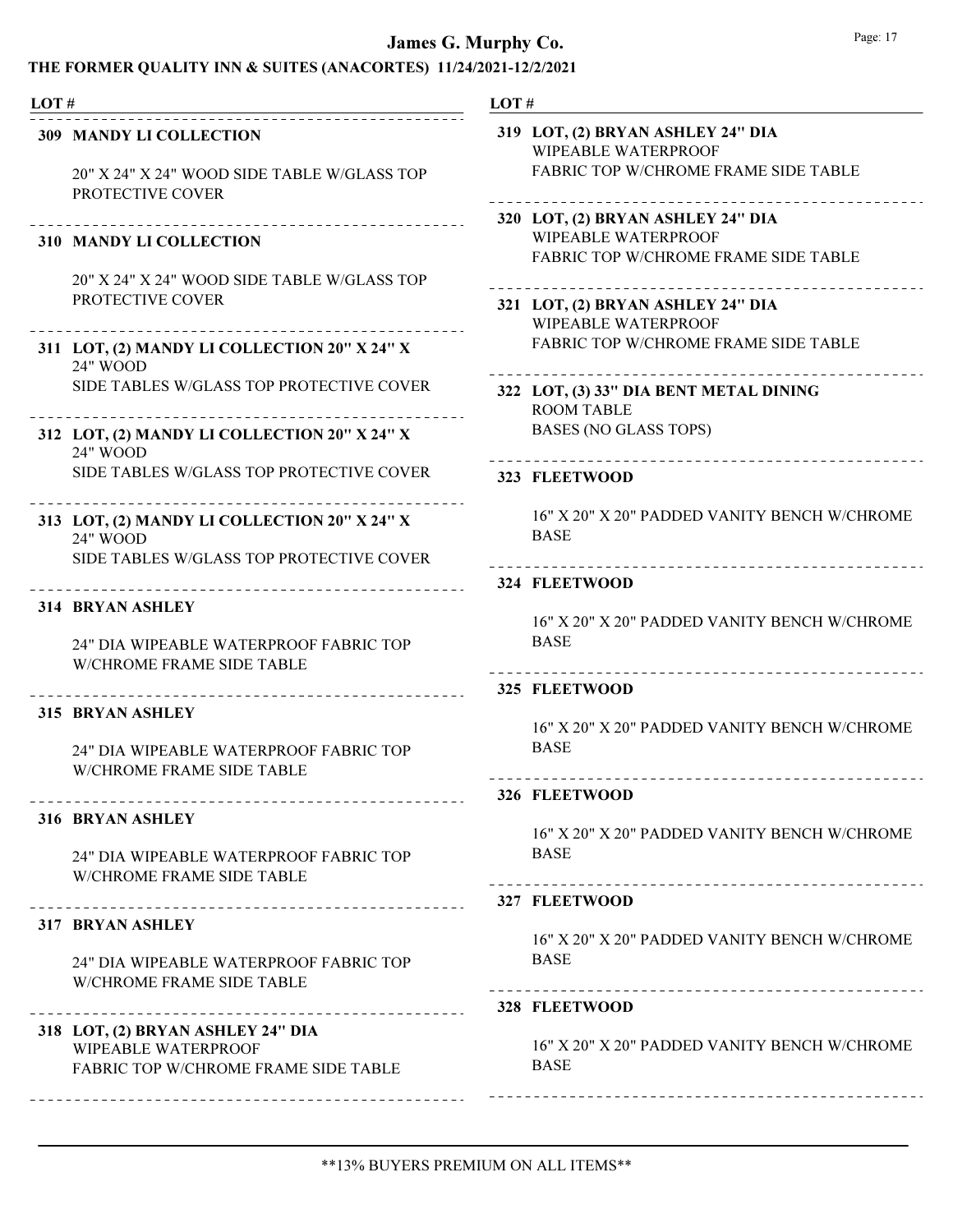### THE FORMER QUALITY INN & SUITES (ANACORTES) 11/24/2021-12/2/2021

| LOT# |                                                                                                      | LOT# |                                                                                                         |
|------|------------------------------------------------------------------------------------------------------|------|---------------------------------------------------------------------------------------------------------|
|      | <b>309 MANDY LI COLLECTION</b><br>20" X 24" X 24" WOOD SIDE TABLE W/GLASS TOP<br>PROTECTIVE COVER    |      | 319 LOT, (2) BRYAN ASHLEY 24" DIA<br><b>WIPEABLE WATERPROOF</b><br>FABRIC TOP W/CHROME FRAME SIDE TABLE |
|      | ____________________<br><b>310 MANDY LI COLLECTION</b>                                               |      | 320 LOT, (2) BRYAN ASHLEY 24" DIA<br><b>WIPEABLE WATERPROOF</b><br>FABRIC TOP W/CHROME FRAME SIDE TABLE |
|      | 20" X 24" X 24" WOOD SIDE TABLE W/GLASS TOP<br>PROTECTIVE COVER                                      |      | 321 LOT, (2) BRYAN ASHLEY 24" DIA<br><b>WIPEABLE WATERPROOF</b>                                         |
|      | 311 LOT, (2) MANDY LI COLLECTION 20" X 24" X<br>24" WOOD                                             |      | FABRIC TOP W/CHROME FRAME SIDE TABLE                                                                    |
|      | SIDE TABLES W/GLASS TOP PROTECTIVE COVER                                                             |      | 322 LOT, (3) 33" DIA BENT METAL DINING<br><b>ROOM TABLE</b>                                             |
|      | 312 LOT, (2) MANDY LI COLLECTION 20" X 24" X<br>24" WOOD                                             |      | <b>BASES (NO GLASS TOPS)</b>                                                                            |
|      | SIDE TABLES W/GLASS TOP PROTECTIVE COVER                                                             |      | 323 FLEETWOOD                                                                                           |
|      | 313 LOT, (2) MANDY LI COLLECTION 20" X 24" X<br>24" WOOD<br>SIDE TABLES W/GLASS TOP PROTECTIVE COVER |      | 16" X 20" X 20" PADDED VANITY BENCH W/CHROME<br><b>BASE</b>                                             |
|      |                                                                                                      |      | 324 FLEETWOOD                                                                                           |
|      | 314 BRYAN ASHLEY<br>24" DIA WIPEABLE WATERPROOF FABRIC TOP<br>W/CHROME FRAME SIDE TABLE              |      | 16" X 20" X 20" PADDED VANITY BENCH W/CHROME<br><b>BASE</b><br>___________________________              |
|      |                                                                                                      |      | 325 FLEETWOOD                                                                                           |
|      | 315 BRYAN ASHLEY<br>24" DIA WIPEABLE WATERPROOF FABRIC TOP<br><b>W/CHROME FRAME SIDE TABLE</b>       |      | 16" X 20" X 20" PADDED VANITY BENCH W/CHROME<br><b>BASE</b>                                             |
|      | ________________________________                                                                     |      | 326 FLEETWOOD                                                                                           |
|      | 316 BRYAN ASHLEY<br>24" DIA WIPEABLE WATERPROOF FABRIC TOP<br><b>W/CHROME FRAME SIDE TABLE</b>       |      | 16" X 20" X 20" PADDED VANITY BENCH W/CHROME<br><b>BASE</b><br>---------------------------------        |
|      |                                                                                                      |      | 327 FLEETWOOD                                                                                           |
|      | <b>317 BRYAN ASHLEY</b><br>24" DIA WIPEABLE WATERPROOF FABRIC TOP<br>W/CHROME FRAME SIDE TABLE       |      | 16" X 20" X 20" PADDED VANITY BENCH W/CHROME<br><b>BASE</b>                                             |
|      |                                                                                                      |      | 328 FLEETWOOD                                                                                           |
|      | 318 LOT, (2) BRYAN ASHLEY 24" DIA<br>WIPEABLE WATERPROOF<br>FABRIC TOP W/CHROME FRAME SIDE TABLE     |      | 16" X 20" X 20" PADDED VANITY BENCH W/CHROME<br><b>BASE</b>                                             |
|      |                                                                                                      |      |                                                                                                         |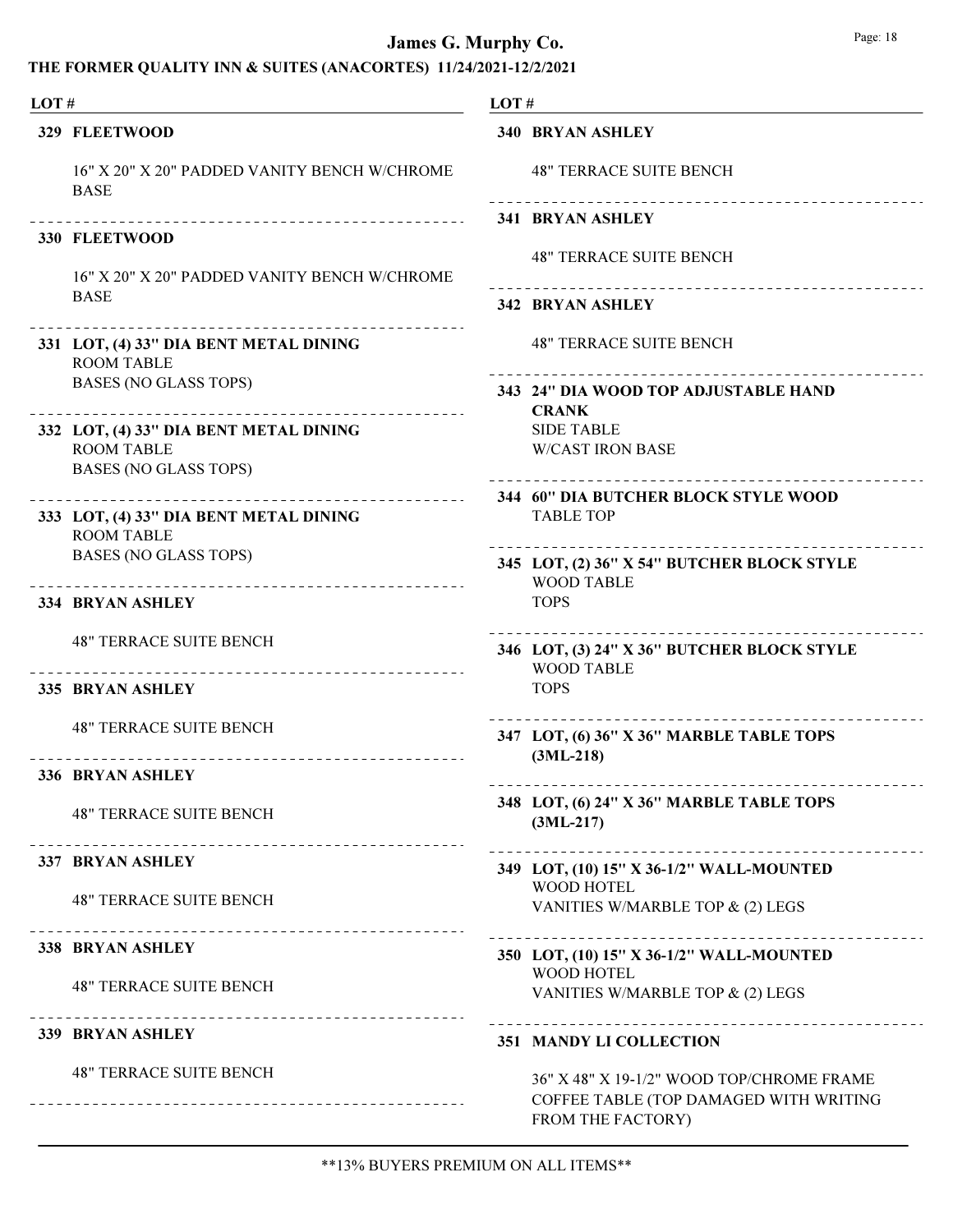| LOT# |                                                                                             | LOT# |                                                                                                          |
|------|---------------------------------------------------------------------------------------------|------|----------------------------------------------------------------------------------------------------------|
|      | 329 FLEETWOOD                                                                               |      | <b>340 BRYAN ASHLEY</b>                                                                                  |
|      | 16" X 20" X 20" PADDED VANITY BENCH W/CHROME<br><b>BASE</b>                                 |      | <b>48" TERRACE SUITE BENCH</b>                                                                           |
|      |                                                                                             |      | <b>341 BRYAN ASHLEY</b>                                                                                  |
|      | 330 FLEETWOOD<br>16" X 20" X 20" PADDED VANITY BENCH W/CHROME                               |      | <b>48" TERRACE SUITE BENCH</b>                                                                           |
|      | <b>BASE</b>                                                                                 |      | 342 BRYAN ASHLEY                                                                                         |
|      | 331 LOT, (4) 33" DIA BENT METAL DINING<br><b>ROOM TABLE</b>                                 |      | <b>48" TERRACE SUITE BENCH</b>                                                                           |
|      | <b>BASES (NO GLASS TOPS)</b>                                                                |      | 343 24" DIA WOOD TOP ADJUSTABLE HAND<br><b>CRANK</b>                                                     |
|      | 332 LOT, (4) 33" DIA BENT METAL DINING<br><b>ROOM TABLE</b><br><b>BASES (NO GLASS TOPS)</b> |      | <b>SIDE TABLE</b><br><b>W/CAST IRON BASE</b>                                                             |
|      | _____________<br>333 LOT, (4) 33" DIA BENT METAL DINING<br><b>ROOM TABLE</b>                |      | 344 60" DIA BUTCHER BLOCK STYLE WOOD<br><b>TABLE TOP</b>                                                 |
|      | <b>BASES (NO GLASS TOPS)</b><br>---------------------------------                           |      | 345 LOT, (2) 36" X 54" BUTCHER BLOCK STYLE<br><b>WOOD TABLE</b>                                          |
|      | 334 BRYAN ASHLEY                                                                            |      | <b>TOPS</b>                                                                                              |
|      | <b>48" TERRACE SUITE BENCH</b><br>---------------------------------                         |      | 346 LOT, (3) 24" X 36" BUTCHER BLOCK STYLE<br><b>WOOD TABLE</b>                                          |
|      | 335 BRYAN ASHLEY                                                                            |      | <b>TOPS</b>                                                                                              |
|      | <b>48" TERRACE SUITE BENCH</b>                                                              |      | 347 LOT, (6) 36" X 36" MARBLE TABLE TOPS<br>$(3ML-218)$                                                  |
|      | <b>336 BRYAN ASHLEY</b>                                                                     |      |                                                                                                          |
|      | <b>48" TERRACE SUITE BENCH</b><br>____________________________________                      |      | 348 LOT, (6) 24" X 36" MARBLE TABLE TOPS<br>$(3ML-217)$                                                  |
|      | <b>337 BRYAN ASHLEY</b>                                                                     |      | 349 LOT, (10) 15" X 36-1/2" WALL-MOUNTED                                                                 |
|      | <b>48" TERRACE SUITE BENCH</b>                                                              |      | WOOD HOTEL<br>VANITIES W/MARBLE TOP & (2) LEGS                                                           |
|      | 338 BRYAN ASHLEY                                                                            |      | 350 LOT, (10) 15" X 36-1/2" WALL-MOUNTED                                                                 |
|      | <b>48" TERRACE SUITE BENCH</b>                                                              |      | <b>WOOD HOTEL</b><br>VANITIES W/MARBLE TOP & (2) LEGS                                                    |
|      | 339 BRYAN ASHLEY                                                                            |      | 351 MANDY LI COLLECTION                                                                                  |
|      | <b>48" TERRACE SUITE BENCH</b>                                                              |      | 36" X 48" X 19-1/2" WOOD TOP/CHROME FRAME<br>COFFEE TABLE (TOP DAMAGED WITH WRITING<br>FROM THE FACTORY) |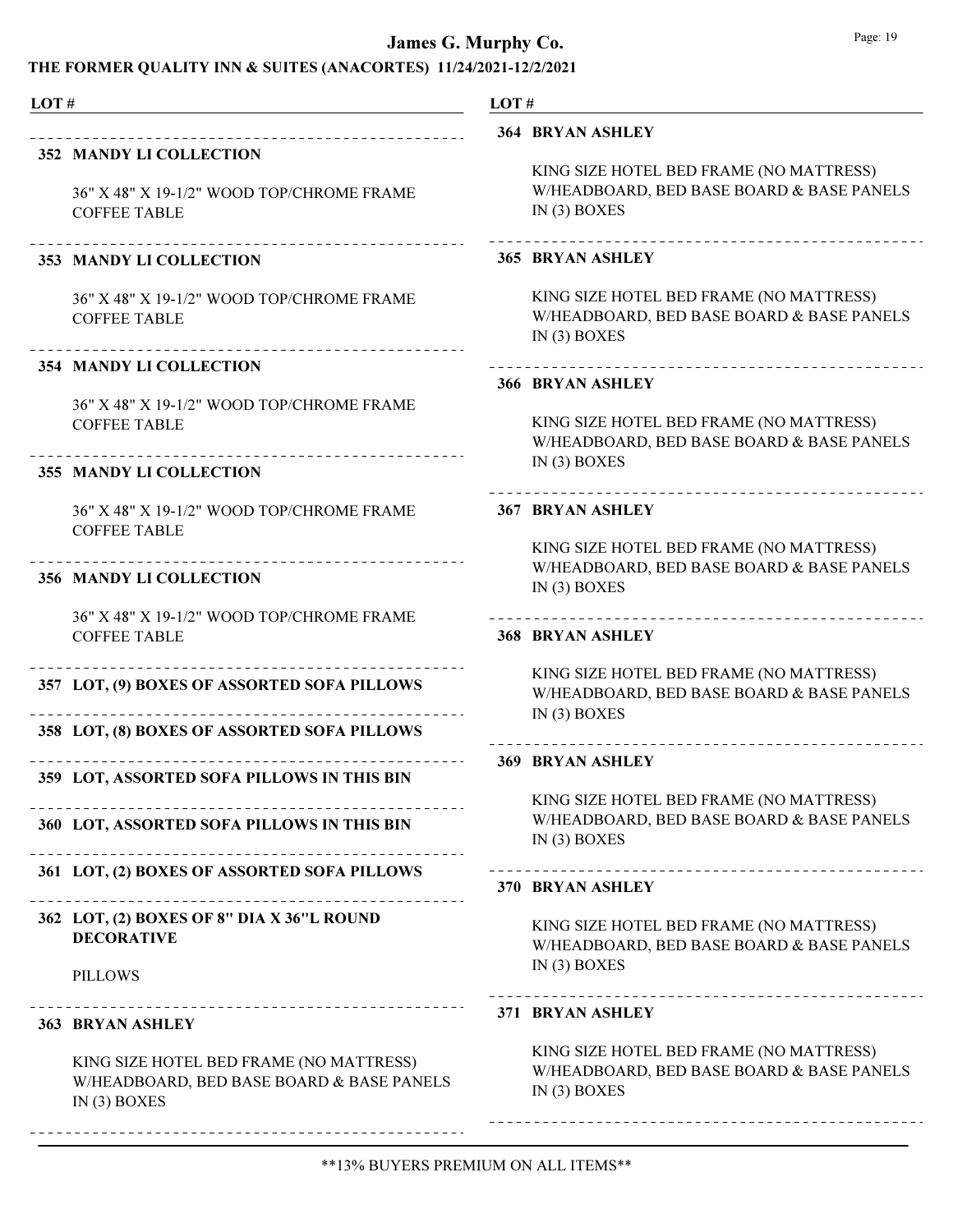#### THE FORMER QUALITY INN & SUITES (ANACORTES) 11/24/2021-12/2/2021

#### LOT #

#### 352 MANDY LI COLLECTION

36" X 48" X 19-1/2" WOOD TOP/CHROME FRAME COFFEE TABLE

#### 353 MANDY LI COLLECTION

36" X 48" X 19-1/2" WOOD TOP/CHROME FRAME COFFEE TABLE

#### 354 MANDY LI COLLECTION

36" X 48" X 19-1/2" WOOD TOP/CHROME FRAME COFFEE TABLE

#### 355 MANDY LI COLLECTION

36" X 48" X 19-1/2" WOOD TOP/CHROME FRAME COFFEE TABLE

#### 356 MANDY LI COLLECTION

36" X 48" X 19-1/2" WOOD TOP/CHROME FRAME COFFEE TABLE

#### 357 LOT, (9) BOXES OF ASSORTED SOFA PILLOWS

Ne

Ne

Ne

358 LOT, (8) BOXES OF ASSORTED SOFA PILLOWS

#### 359 LOT, ASSORTED SOFA PILLOWS IN THIS BIN

360 LOT, ASSORTED SOFA PILLOWS IN THIS BIN

#### 361 LOT, (2) BOXES OF ASSORTED SOFA PILLOWS

#### Ne LOT, (2) BOXES OF 8" DIA X 36"L ROUND 362 DECORATIVE

#### PILLOWS

#### 363 BRYAN ASHLEY

KING SIZE HOTEL BED FRAME (NO MATTRESS) W/HEADBOARD, BED BASE BOARD & BASE PANELS IN (3) BOXES

#### LOT #

#### 364 BRYAN ASHLEY

KING SIZE HOTEL BED FRAME (NO MATTRESS) W/HEADBOARD, BED BASE BOARD & BASE PANELS IN (3) BOXES

#### 365 BRYAN ASHLEY

KING SIZE HOTEL BED FRAME (NO MATTRESS) W/HEADBOARD, BED BASE BOARD & BASE PANELS IN (3) BOXES

#### 366 BRYAN ASHLEY

KING SIZE HOTEL BED FRAME (NO MATTRESS) W/HEADBOARD, BED BASE BOARD & BASE PANELS IN (3) BOXES

#### 367 BRYAN ASHLEY

KING SIZE HOTEL BED FRAME (NO MATTRESS) W/HEADBOARD, BED BASE BOARD & BASE PANELS IN (3) BOXES

#### 368 BRYAN ASHLEY

KING SIZE HOTEL BED FRAME (NO MATTRESS) W/HEADBOARD, BED BASE BOARD & BASE PANELS IN (3) BOXES

#### 369 BRYAN ASHLEY

KING SIZE HOTEL BED FRAME (NO MATTRESS) W/HEADBOARD, BED BASE BOARD & BASE PANELS IN (3) BOXES

#### 370 BRYAN ASHLEY

KING SIZE HOTEL BED FRAME (NO MATTRESS) W/HEADBOARD, BED BASE BOARD & BASE PANELS IN (3) BOXES

#### 371 BRYAN ASHLEY

KING SIZE HOTEL BED FRAME (NO MATTRESS) W/HEADBOARD, BED BASE BOARD & BASE PANELS IN (3) BOXES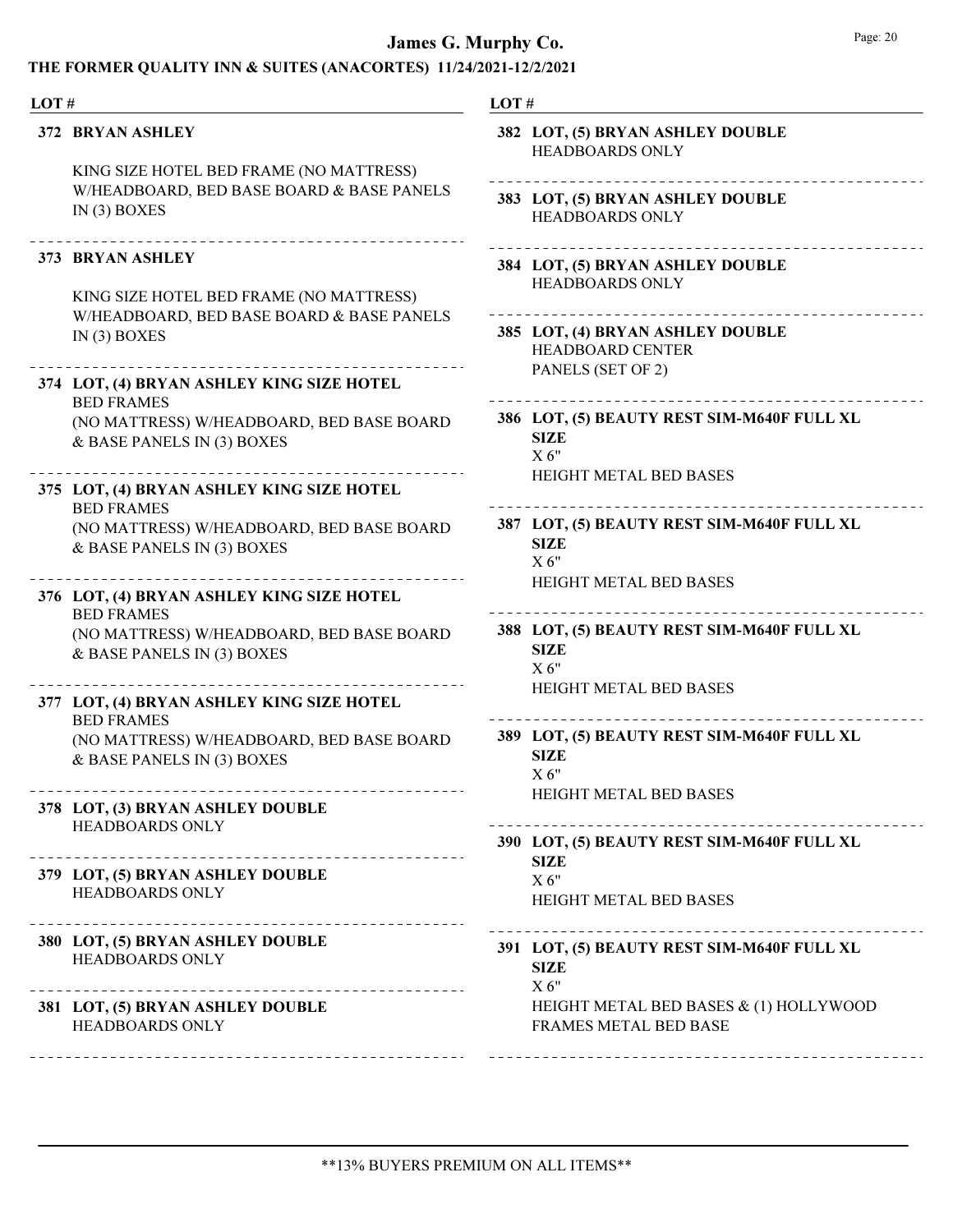|                                                                         | LOT#                                                                                                                                                                                                                                                                                                                                                                                                                                                                                                                                                                                                            |
|-------------------------------------------------------------------------|-----------------------------------------------------------------------------------------------------------------------------------------------------------------------------------------------------------------------------------------------------------------------------------------------------------------------------------------------------------------------------------------------------------------------------------------------------------------------------------------------------------------------------------------------------------------------------------------------------------------|
|                                                                         | 382 LOT, (5) BRYAN ASHLEY DOUBLE<br><b>HEADBOARDS ONLY</b>                                                                                                                                                                                                                                                                                                                                                                                                                                                                                                                                                      |
| W/HEADBOARD, BED BASE BOARD & BASE PANELS<br>IN $(3)$ BOXES             | 383 LOT, (5) BRYAN ASHLEY DOUBLE<br><b>HEADBOARDS ONLY</b>                                                                                                                                                                                                                                                                                                                                                                                                                                                                                                                                                      |
| KING SIZE HOTEL BED FRAME (NO MATTRESS)                                 | 384 LOT, (5) BRYAN ASHLEY DOUBLE<br><b>HEADBOARDS ONLY</b>                                                                                                                                                                                                                                                                                                                                                                                                                                                                                                                                                      |
| IN $(3)$ BOXES                                                          | 385 LOT, (4) BRYAN ASHLEY DOUBLE<br><b>HEADBOARD CENTER</b>                                                                                                                                                                                                                                                                                                                                                                                                                                                                                                                                                     |
|                                                                         | PANELS (SET OF 2)                                                                                                                                                                                                                                                                                                                                                                                                                                                                                                                                                                                               |
| (NO MATTRESS) W/HEADBOARD, BED BASE BOARD<br>& BASE PANELS IN (3) BOXES | 386 LOT, (5) BEAUTY REST SIM-M640F FULL XL<br><b>SIZE</b><br>X 6"                                                                                                                                                                                                                                                                                                                                                                                                                                                                                                                                               |
|                                                                         | <b>HEIGHT METAL BED BASES</b>                                                                                                                                                                                                                                                                                                                                                                                                                                                                                                                                                                                   |
| (NO MATTRESS) W/HEADBOARD, BED BASE BOARD<br>& BASE PANELS IN (3) BOXES | 387 LOT, (5) BEAUTY REST SIM-M640F FULL XL<br><b>SIZE</b><br>$X_6"$                                                                                                                                                                                                                                                                                                                                                                                                                                                                                                                                             |
|                                                                         | <b>HEIGHT METAL BED BASES</b>                                                                                                                                                                                                                                                                                                                                                                                                                                                                                                                                                                                   |
| (NO MATTRESS) W/HEADBOARD, BED BASE BOARD<br>& BASE PANELS IN (3) BOXES | 388 LOT, (5) BEAUTY REST SIM-M640F FULL XL<br><b>SIZE</b><br>X 6"                                                                                                                                                                                                                                                                                                                                                                                                                                                                                                                                               |
|                                                                         | <b>HEIGHT METAL BED BASES</b>                                                                                                                                                                                                                                                                                                                                                                                                                                                                                                                                                                                   |
| (NO MATTRESS) W/HEADBOARD, BED BASE BOARD<br>& BASE PANELS IN (3) BOXES | 389 LOT, (5) BEAUTY REST SIM-M640F FULL XL<br><b>SIZE</b><br>X 6"                                                                                                                                                                                                                                                                                                                                                                                                                                                                                                                                               |
|                                                                         | HEIGHT METAL BED BASES                                                                                                                                                                                                                                                                                                                                                                                                                                                                                                                                                                                          |
|                                                                         | 390 LOT, (5) BEAUTY REST SIM-M640F FULL XL                                                                                                                                                                                                                                                                                                                                                                                                                                                                                                                                                                      |
| HEADBOARDS ONLY                                                         | <b>SIZE</b><br>X 6"<br><b>HEIGHT METAL BED BASES</b>                                                                                                                                                                                                                                                                                                                                                                                                                                                                                                                                                            |
| <b>HEADBOARDS ONLY</b>                                                  | 391 LOT, (5) BEAUTY REST SIM-M640F FULL XL<br><b>SIZE</b><br>X 6"                                                                                                                                                                                                                                                                                                                                                                                                                                                                                                                                               |
| HEADBOARDS ONLY                                                         | HEIGHT METAL BED BASES & (1) HOLLYWOOD<br>FRAMES METAL BED BASE                                                                                                                                                                                                                                                                                                                                                                                                                                                                                                                                                 |
|                                                                         | LOT#<br>372 BRYAN ASHLEY<br>KING SIZE HOTEL BED FRAME (NO MATTRESS)<br>373 BRYAN ASHLEY<br>W/HEADBOARD, BED BASE BOARD & BASE PANELS<br>374 LOT, (4) BRYAN ASHLEY KING SIZE HOTEL<br><b>BED FRAMES</b><br>375 LOT, (4) BRYAN ASHLEY KING SIZE HOTEL<br><b>BED FRAMES</b><br>376 LOT, (4) BRYAN ASHLEY KING SIZE HOTEL<br><b>BED FRAMES</b><br>377 LOT, (4) BRYAN ASHLEY KING SIZE HOTEL<br><b>BED FRAMES</b><br>378 LOT, (3) BRYAN ASHLEY DOUBLE<br>HEADBOARDS ONLY<br>379 LOT, (5) BRYAN ASHLEY DOUBLE<br>----------------------------<br>380 LOT, (5) BRYAN ASHLEY DOUBLE<br>381 LOT, (5) BRYAN ASHLEY DOUBLE |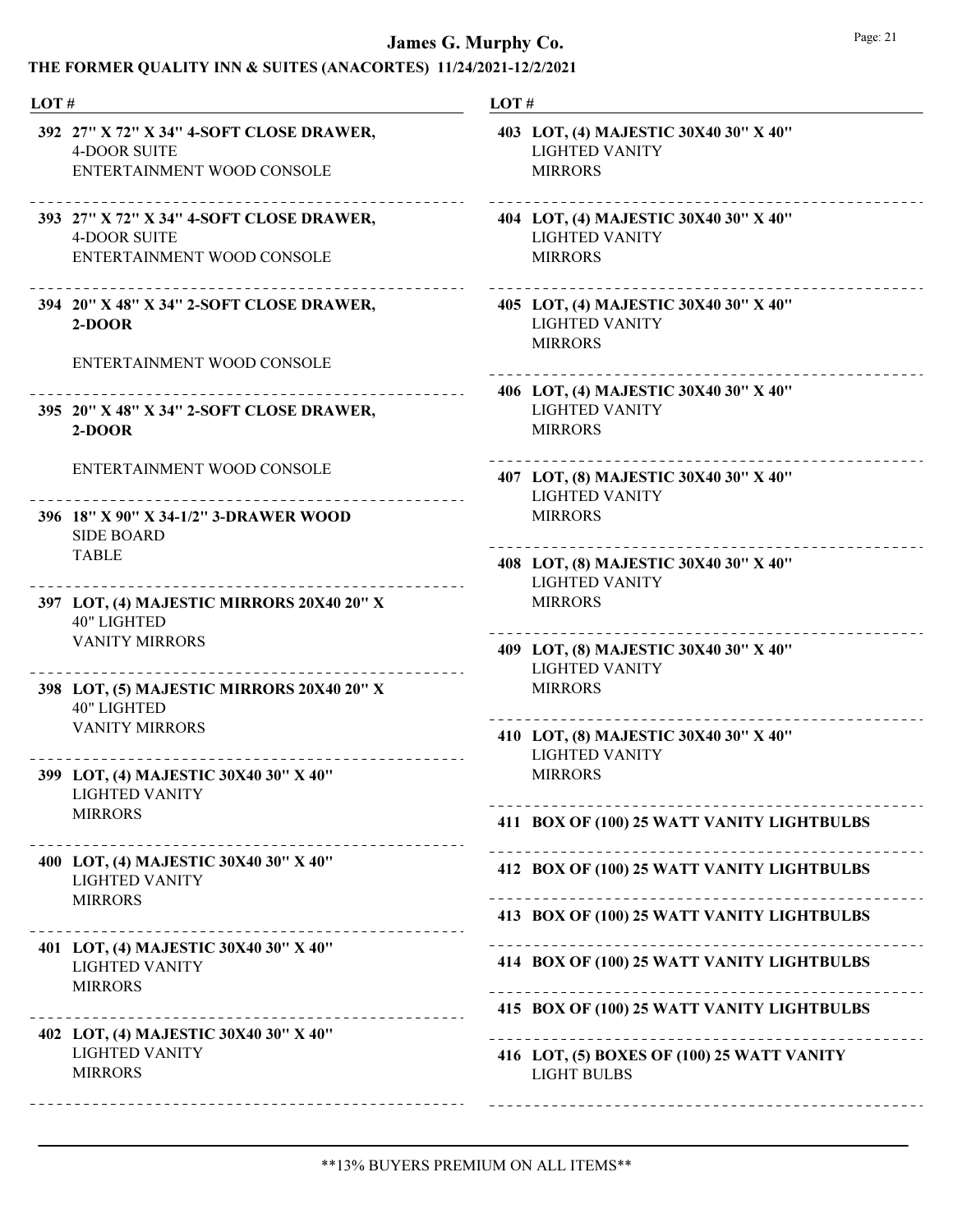| LOT#                                                                                          | LOT#                                                                             |
|-----------------------------------------------------------------------------------------------|----------------------------------------------------------------------------------|
| 392 27" X 72" X 34" 4-SOFT CLOSE DRAWER,<br><b>4-DOOR SUITE</b><br>ENTERTAINMENT WOOD CONSOLE | 403 LOT, (4) MAJESTIC 30X40 30" X 40"<br><b>LIGHTED VANITY</b><br><b>MIRRORS</b> |
| 393 27" X 72" X 34" 4-SOFT CLOSE DRAWER,<br><b>4-DOOR SUITE</b><br>ENTERTAINMENT WOOD CONSOLE | 404 LOT, (4) MAJESTIC 30X40 30" X 40"<br><b>LIGHTED VANITY</b><br><b>MIRRORS</b> |
| 394 20" X 48" X 34" 2-SOFT CLOSE DRAWER,<br>2-DOOR                                            | 405 LOT, (4) MAJESTIC 30X40 30" X 40"<br><b>LIGHTED VANITY</b><br><b>MIRRORS</b> |
| ENTERTAINMENT WOOD CONSOLE                                                                    | 406 LOT, (4) MAJESTIC 30X40 30" X 40"                                            |
| 395 20" X 48" X 34" 2-SOFT CLOSE DRAWER,<br>$2-DOOR$                                          | <b>LIGHTED VANITY</b><br><b>MIRRORS</b>                                          |
| ENTERTAINMENT WOOD CONSOLE                                                                    | 407 LOT, (8) MAJESTIC 30X40 30" X 40"<br><b>LIGHTED VANITY</b>                   |
| 396 18" X 90" X 34-1/2" 3-DRAWER WOOD<br><b>SIDE BOARD</b>                                    | <b>MIRRORS</b>                                                                   |
| <b>TABLE</b>                                                                                  | 408 LOT, (8) MAJESTIC 30X40 30" X 40"<br><b>LIGHTED VANITY</b>                   |
| 397 LOT, (4) MAJESTIC MIRRORS 20X40 20" X<br><b>40" LIGHTED</b>                               | <b>MIRRORS</b>                                                                   |
| <b>VANITY MIRRORS</b>                                                                         | 409 LOT, (8) MAJESTIC 30X40 30" X 40"<br><b>LIGHTED VANITY</b>                   |
| 398 LOT, (5) MAJESTIC MIRRORS 20X40 20" X<br><b>40" LIGHTED</b>                               | <b>MIRRORS</b>                                                                   |
| <b>VANITY MIRRORS</b>                                                                         | 410 LOT, (8) MAJESTIC 30X40 30" X 40"<br><b>LIGHTED VANITY</b>                   |
| 399 LOT, (4) MAJESTIC 30X40 30" X 40"<br><b>LIGHTED VANITY</b>                                | <b>MIRRORS</b>                                                                   |
| <b>MIRRORS</b>                                                                                | 411 BOX OF (100) 25 WATT VANITY LIGHTBULBS                                       |
| 400 LOT, (4) MAJESTIC 30X40 30" X 40"<br><b>LIGHTED VANITY</b><br><b>MIRRORS</b>              | 412 BOX OF (100) 25 WATT VANITY LIGHTBULBS                                       |
|                                                                                               | 413 BOX OF (100) 25 WATT VANITY LIGHTBULBS                                       |
| 401 LOT, (4) MAJESTIC 30X40 30" X 40"<br><b>LIGHTED VANITY</b><br><b>MIRRORS</b>              | 414 BOX OF (100) 25 WATT VANITY LIGHTBULBS                                       |
| --------------------------------------<br>402 LOT, (4) MAJESTIC 30X40 30" X 40"               | 415 BOX OF (100) 25 WATT VANITY LIGHTBULBS                                       |
| <b>LIGHTED VANITY</b><br><b>MIRRORS</b>                                                       | 416 LOT, (5) BOXES OF (100) 25 WATT VANITY<br><b>LIGHT BULBS</b>                 |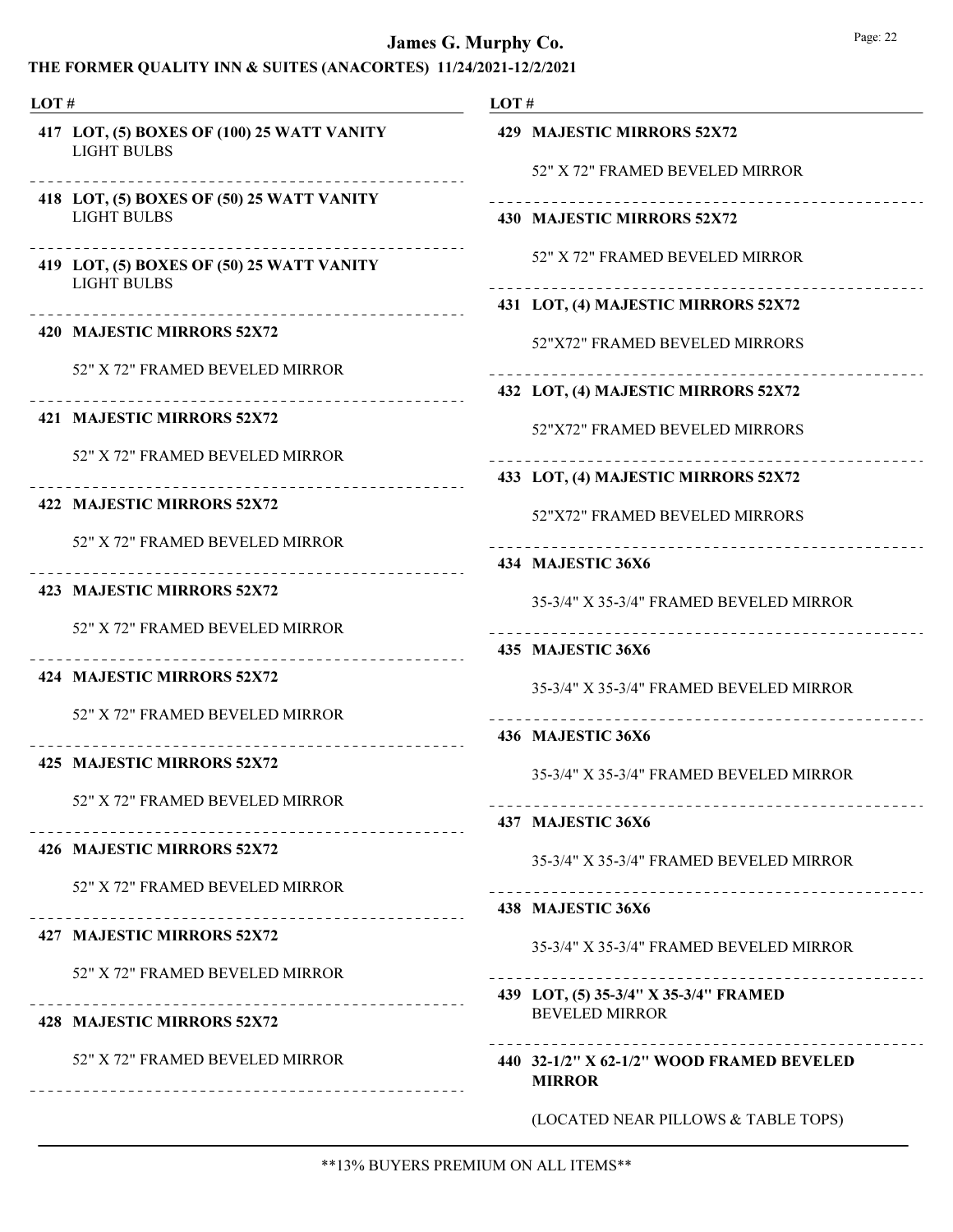| LOT# |                                                                      | LOT#                                                           |  |
|------|----------------------------------------------------------------------|----------------------------------------------------------------|--|
|      | 417 LOT, (5) BOXES OF (100) 25 WATT VANITY<br><b>LIGHT BULBS</b>     | 429 MAJESTIC MIRRORS 52X72<br>52" X 72" FRAMED BEVELED MIRROR  |  |
|      | 418 LOT, (5) BOXES OF (50) 25 WATT VANITY<br><b>LIGHT BULBS</b>      | 430 MAJESTIC MIRRORS 52X72                                     |  |
|      | 419 LOT, (5) BOXES OF (50) 25 WATT VANITY                            | 52" X 72" FRAMED BEVELED MIRROR                                |  |
|      | <b>LIGHT BULBS</b>                                                   | 431 LOT, (4) MAJESTIC MIRRORS 52X72                            |  |
|      | 420 MAJESTIC MIRRORS 52X72                                           | 52"X72" FRAMED BEVELED MIRRORS                                 |  |
|      | 52" X 72" FRAMED BEVELED MIRROR                                      | 432 LOT, (4) MAJESTIC MIRRORS 52X72                            |  |
|      | 421 MAJESTIC MIRRORS 52X72                                           | 52"X72" FRAMED BEVELED MIRRORS                                 |  |
|      | 52" X 72" FRAMED BEVELED MIRROR                                      |                                                                |  |
|      | 422 MAJESTIC MIRRORS 52X72                                           | 433 LOT, (4) MAJESTIC MIRRORS 52X72                            |  |
|      | 52" X 72" FRAMED BEVELED MIRROR                                      | 52"X72" FRAMED BEVELED MIRRORS                                 |  |
|      |                                                                      | 434 MAJESTIC 36X6                                              |  |
|      | 423 MAJESTIC MIRRORS 52X72                                           | 35-3/4" X 35-3/4" FRAMED BEVELED MIRROR                        |  |
|      | 52" X 72" FRAMED BEVELED MIRROR                                      | 435 MAJESTIC 36X6                                              |  |
|      | 424 MAJESTIC MIRRORS 52X72                                           | 35-3/4" X 35-3/4" FRAMED BEVELED MIRROR                        |  |
|      | 52" X 72" FRAMED BEVELED MIRROR                                      | 436 MAJESTIC 36X6                                              |  |
|      | 425 MAJESTIC MIRRORS 52X72                                           | 35-3/4" X 35-3/4" FRAMED BEVELED MIRROR                        |  |
|      | 52" X 72" FRAMED BEVELED MIRROR                                      | 437 MAJESTIC 36X6                                              |  |
|      | 426 MAJESTIC MIRRORS 52X72                                           | 35-3/4" X 35-3/4" FRAMED BEVELED MIRROR                        |  |
|      | 52" X 72" FRAMED BEVELED MIRROR                                      | 438 MAJESTIC 36X6                                              |  |
|      | 427 MAJESTIC MIRRORS 52X72                                           | 35-3/4" X 35-3/4" FRAMED BEVELED MIRROR                        |  |
|      | 52" X 72" FRAMED BEVELED MIRROR                                      |                                                                |  |
|      | 428 MAJESTIC MIRRORS 52X72                                           | 439 LOT, (5) 35-3/4" X 35-3/4" FRAMED<br><b>BEVELED MIRROR</b> |  |
|      | 52" X 72" FRAMED BEVELED MIRROR<br>--------------------------------- | 440 32-1/2" X 62-1/2" WOOD FRAMED BEVELED<br><b>MIRROR</b>     |  |
|      |                                                                      | (LOCATED NEAR PILLOWS & TABLE TOPS)                            |  |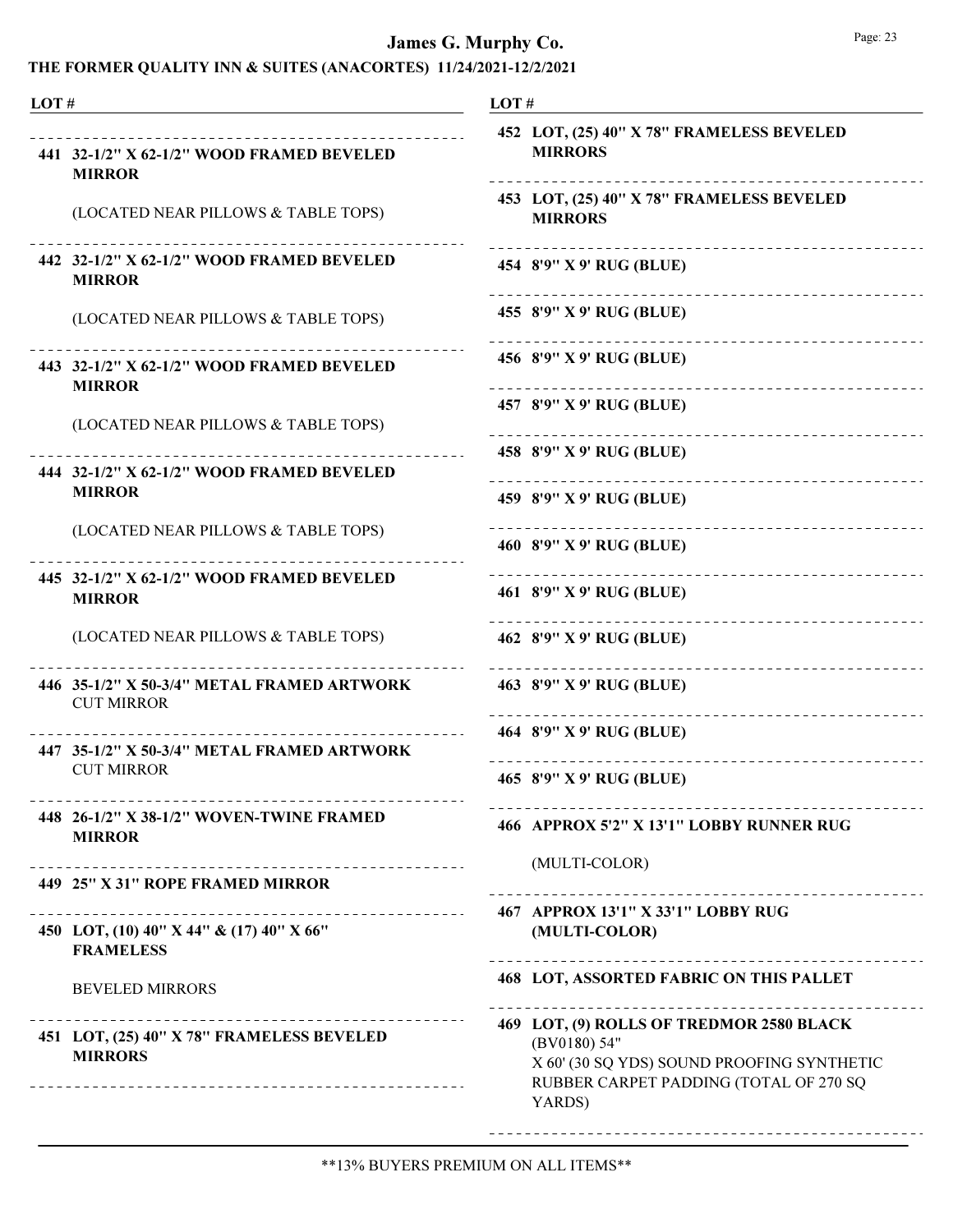| LOT# |                                                                                                            | LOT#                                                                                                                                                       |
|------|------------------------------------------------------------------------------------------------------------|------------------------------------------------------------------------------------------------------------------------------------------------------------|
|      | 441 32-1/2" X 62-1/2" WOOD FRAMED BEVELED<br><b>MIRROR</b>                                                 | 452 LOT, (25) 40" X 78" FRAMELESS BEVELED<br><b>MIRRORS</b>                                                                                                |
|      | (LOCATED NEAR PILLOWS & TABLE TOPS)                                                                        | 453 LOT, (25) 40" X 78" FRAMELESS BEVELED<br><b>MIRRORS</b>                                                                                                |
|      | 442 32-1/2" X 62-1/2" WOOD FRAMED BEVELED<br><b>MIRROR</b>                                                 | 454 8'9" X 9' RUG (BLUE)                                                                                                                                   |
|      | (LOCATED NEAR PILLOWS & TABLE TOPS)                                                                        | 455 8'9" X 9' RUG (BLUE)                                                                                                                                   |
|      | 443 32-1/2" X 62-1/2" WOOD FRAMED BEVELED<br><b>MIRROR</b>                                                 | ----------------------------<br>456 8'9" X 9' RUG (BLUE)                                                                                                   |
|      | (LOCATED NEAR PILLOWS & TABLE TOPS)                                                                        | 457 8'9" X 9' RUG (BLUE)<br>----------------------------                                                                                                   |
|      | 444 32-1/2" X 62-1/2" WOOD FRAMED BEVELED                                                                  | 458 8'9" X 9' RUG (BLUE)                                                                                                                                   |
|      | <b>MIRROR</b>                                                                                              | 459 8'9" X 9' RUG (BLUE)                                                                                                                                   |
|      | (LOCATED NEAR PILLOWS & TABLE TOPS)                                                                        | 460 8'9" X 9' RUG (BLUE)                                                                                                                                   |
|      | 445 32-1/2" X 62-1/2" WOOD FRAMED BEVELED<br><b>MIRROR</b>                                                 | 461 8'9" X 9' RUG (BLUE)                                                                                                                                   |
|      | (LOCATED NEAR PILLOWS & TABLE TOPS)                                                                        | 462 8'9" X 9' RUG (BLUE)                                                                                                                                   |
|      | 446 35-1/2" X 50-3/4" METAL FRAMED ARTWORK<br><b>CUT MIRROR</b>                                            | 463 8'9" X 9' RUG (BLUE)                                                                                                                                   |
|      | 447 35-1/2" X 50-3/4" METAL FRAMED ARTWORK                                                                 | 464 8'9" X 9' RUG (BLUE)                                                                                                                                   |
|      | <b>CUT MIRROR</b>                                                                                          | 465 8'9" X 9' RUG (BLUE)                                                                                                                                   |
|      | 448 26-1/2" X 38-1/2" WOVEN-TWINE FRAMED<br><b>MIRROR</b>                                                  | 466 APPROX 5'2" X 13'1" LOBBY RUNNER RUG                                                                                                                   |
|      | 449 25" X 31" ROPE FRAMED MIRROR                                                                           | (MULTI-COLOR)                                                                                                                                              |
|      | . <u>_ _ _ _ _ _ _ _ _ _ _ _ _ _ _</u> _ _<br>450 LOT, (10) 40" X 44" & (17) 40" X 66"<br><b>FRAMELESS</b> | 467 APPROX 13'1" X 33'1" LOBBY RUG<br>(MULTI-COLOR)                                                                                                        |
|      | <b>BEVELED MIRRORS</b>                                                                                     | <b>468 LOT, ASSORTED FABRIC ON THIS PALLET</b>                                                                                                             |
|      | 451 LOT, (25) 40" X 78" FRAMELESS BEVELED<br><b>MIRRORS</b>                                                | 469 LOT, (9) ROLLS OF TREDMOR 2580 BLACK<br>(BV0180) 54"<br>X 60' (30 SQ YDS) SOUND PROOFING SYNTHETIC<br>RUBBER CARPET PADDING (TOTAL OF 270 SQ<br>YARDS) |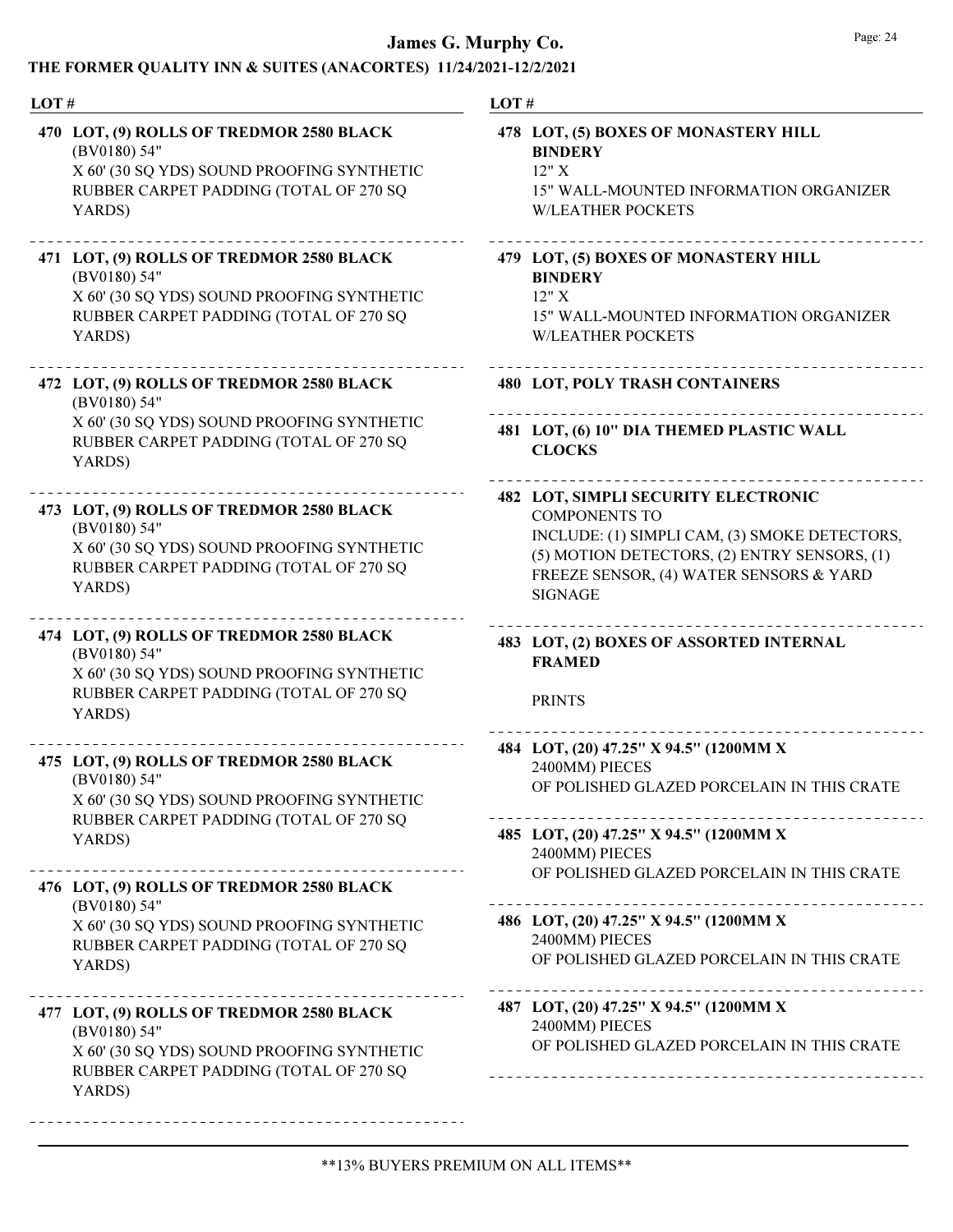| LOT# |                                                                                                                                                                                               | LOT#                                                                                                                                                                                                                             |  |
|------|-----------------------------------------------------------------------------------------------------------------------------------------------------------------------------------------------|----------------------------------------------------------------------------------------------------------------------------------------------------------------------------------------------------------------------------------|--|
|      | 470 LOT, (9) ROLLS OF TREDMOR 2580 BLACK<br>(BV0180) 54"<br>X 60' (30 SQ YDS) SOUND PROOFING SYNTHETIC<br>RUBBER CARPET PADDING (TOTAL OF 270 SQ<br>YARDS)                                    | 478 LOT, (5) BOXES OF MONASTERY HILL<br><b>BINDERY</b><br>12"X<br>15" WALL-MOUNTED INFORMATION ORGANIZER<br><b>W/LEATHER POCKETS</b>                                                                                             |  |
|      | 471 LOT, (9) ROLLS OF TREDMOR 2580 BLACK<br>(BV0180) 54"<br>X 60' (30 SQ YDS) SOUND PROOFING SYNTHETIC<br>RUBBER CARPET PADDING (TOTAL OF 270 SQ<br>YARDS)                                    | 479 LOT, (5) BOXES OF MONASTERY HILL<br><b>BINDERY</b><br>12"X<br>15" WALL-MOUNTED INFORMATION ORGANIZER<br><b>W/LEATHER POCKETS</b>                                                                                             |  |
|      | 472 LOT, (9) ROLLS OF TREDMOR 2580 BLACK<br>(BV0180) 54"                                                                                                                                      | <b>480 LOT, POLY TRASH CONTAINERS</b>                                                                                                                                                                                            |  |
|      | X 60' (30 SQ YDS) SOUND PROOFING SYNTHETIC<br>RUBBER CARPET PADDING (TOTAL OF 270 SQ<br>YARDS)                                                                                                | 481 LOT, (6) 10" DIA THEMED PLASTIC WALL<br><b>CLOCKS</b>                                                                                                                                                                        |  |
|      | 473 LOT, (9) ROLLS OF TREDMOR 2580 BLACK<br>(BV0180) 54"<br>X 60' (30 SQ YDS) SOUND PROOFING SYNTHETIC<br>RUBBER CARPET PADDING (TOTAL OF 270 SQ<br>YARDS)                                    | <b>482 LOT, SIMPLI SECURITY ELECTRONIC</b><br><b>COMPONENTS TO</b><br>INCLUDE: (1) SIMPLI CAM, (3) SMOKE DETECTORS,<br>(5) MOTION DETECTORS, (2) ENTRY SENSORS, (1)<br>FREEZE SENSOR, (4) WATER SENSORS & YARD<br><b>SIGNAGE</b> |  |
|      | 474 LOT, (9) ROLLS OF TREDMOR 2580 BLACK<br>(BV0180) 54"<br>X 60' (30 SQ YDS) SOUND PROOFING SYNTHETIC<br>RUBBER CARPET PADDING (TOTAL OF 270 SQ<br>YARDS)                                    | 483 LOT, (2) BOXES OF ASSORTED INTERNAL<br><b>FRAMED</b><br><b>PRINTS</b>                                                                                                                                                        |  |
|      | 475 LOT, (9) ROLLS OF TREDMOR 2580 BLACK<br>(BV0180) 54"<br>X 60' (30 SQ YDS) SOUND PROOFING SYNTHETIC                                                                                        | 484 LOT, (20) 47.25" X 94.5" (1200MM X<br>2400MM) PIECES<br>OF POLISHED GLAZED PORCELAIN IN THIS CRATE                                                                                                                           |  |
|      | RUBBER CARPET PADDING (TOTAL OF 270 SQ<br>YARDS)                                                                                                                                              | 485 LOT, (20) 47.25" X 94.5" (1200MM X<br>2400MM) PIECES<br>OF POLISHED GLAZED PORCELAIN IN THIS CRATE                                                                                                                           |  |
|      | 476 LOT, (9) ROLLS OF TREDMOR 2580 BLACK<br>(BV0180) 54"                                                                                                                                      |                                                                                                                                                                                                                                  |  |
|      | X 60' (30 SQ YDS) SOUND PROOFING SYNTHETIC<br>RUBBER CARPET PADDING (TOTAL OF 270 SQ<br>YARDS)                                                                                                | 486 LOT, (20) 47.25" X 94.5" (1200MM X<br>2400MM) PIECES<br>OF POLISHED GLAZED PORCELAIN IN THIS CRATE                                                                                                                           |  |
|      | _______________________________<br>477 LOT, (9) ROLLS OF TREDMOR 2580 BLACK<br>(BV0180) 54"<br>X 60' (30 SQ YDS) SOUND PROOFING SYNTHETIC<br>RUBBER CARPET PADDING (TOTAL OF 270 SQ<br>YARDS) | 487 LOT, (20) 47.25" X 94.5" (1200MM X<br>2400MM) PIECES<br>OF POLISHED GLAZED PORCELAIN IN THIS CRATE                                                                                                                           |  |
|      |                                                                                                                                                                                               |                                                                                                                                                                                                                                  |  |